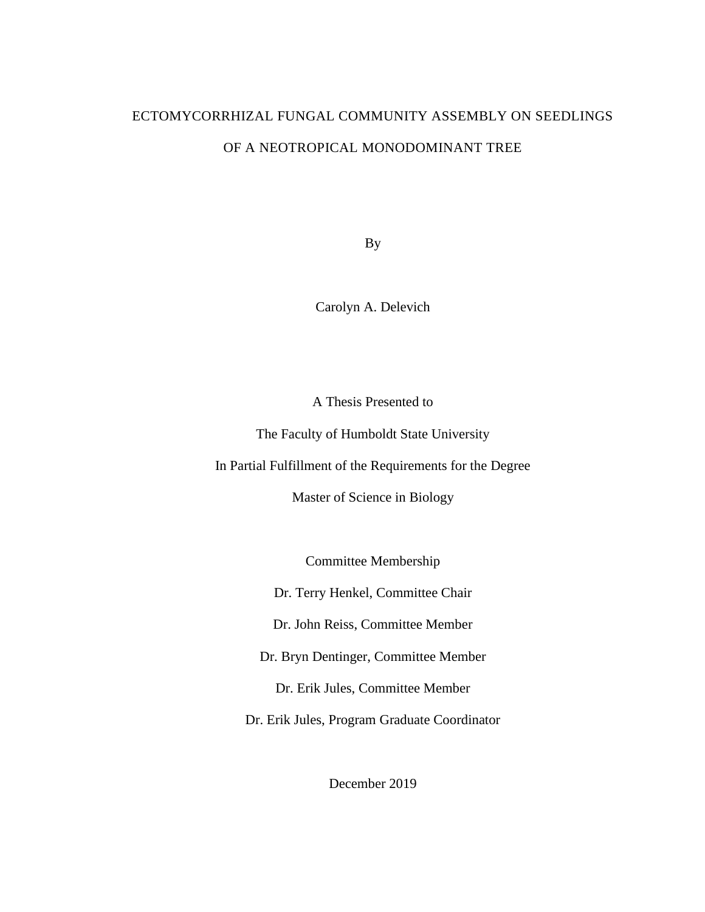# ECTOMYCORRHIZAL FUNGAL COMMUNITY ASSEMBLY ON SEEDLINGS OF A NEOTROPICAL MONODOMINANT TREE

By

Carolyn A. Delevich

A Thesis Presented to

The Faculty of Humboldt State University

In Partial Fulfillment of the Requirements for the Degree

Master of Science in Biology

Committee Membership

Dr. Terry Henkel, Committee Chair

Dr. John Reiss, Committee Member

Dr. Bryn Dentinger, Committee Member

Dr. Erik Jules, Committee Member

Dr. Erik Jules, Program Graduate Coordinator

December 2019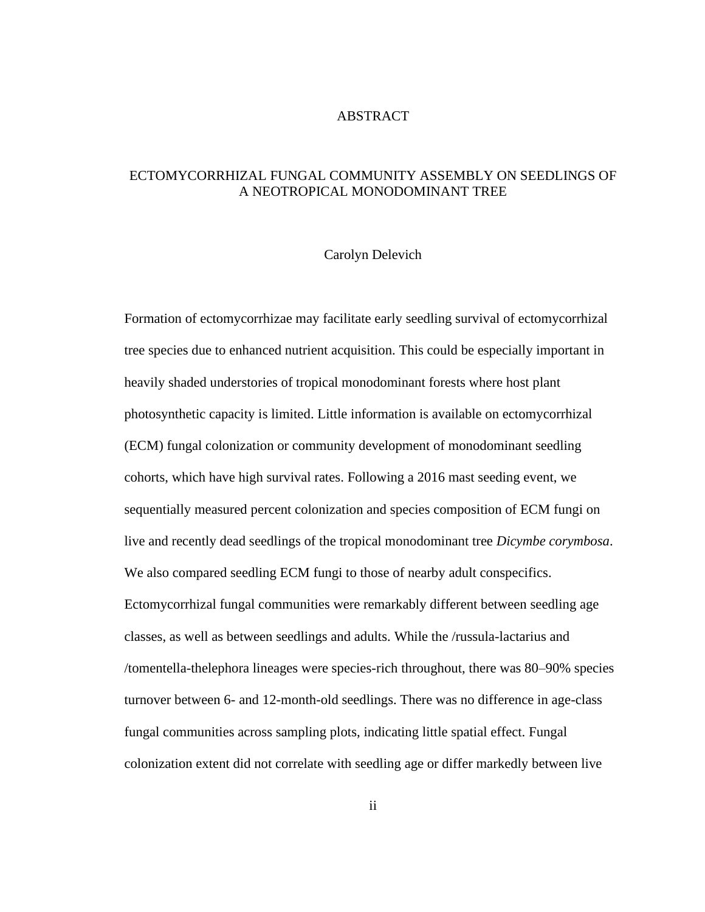# ABSTRACT

# <span id="page-1-0"></span>ECTOMYCORRHIZAL FUNGAL COMMUNITY ASSEMBLY ON SEEDLINGS OF A NEOTROPICAL MONODOMINANT TREE

#### Carolyn Delevich

Formation of ectomycorrhizae may facilitate early seedling survival of ectomycorrhizal tree species due to enhanced nutrient acquisition. This could be especially important in heavily shaded understories of tropical monodominant forests where host plant photosynthetic capacity is limited. Little information is available on ectomycorrhizal (ECM) fungal colonization or community development of monodominant seedling cohorts, which have high survival rates. Following a 2016 mast seeding event, we sequentially measured percent colonization and species composition of ECM fungi on live and recently dead seedlings of the tropical monodominant tree *Dicymbe corymbosa*. We also compared seedling ECM fungi to those of nearby adult conspecifics. Ectomycorrhizal fungal communities were remarkably different between seedling age classes, as well as between seedlings and adults. While the /russula-lactarius and /tomentella-thelephora lineages were species-rich throughout, there was 80–90% species turnover between 6- and 12-month-old seedlings. There was no difference in age-class fungal communities across sampling plots, indicating little spatial effect. Fungal colonization extent did not correlate with seedling age or differ markedly between live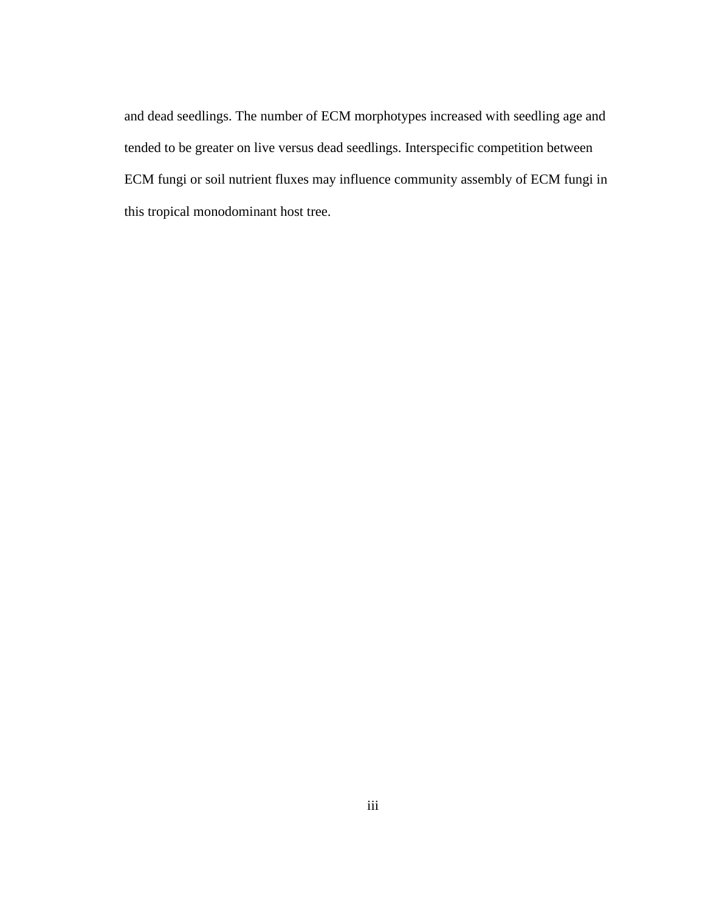and dead seedlings. The number of ECM morphotypes increased with seedling age and tended to be greater on live versus dead seedlings. Interspecific competition between ECM fungi or soil nutrient fluxes may influence community assembly of ECM fungi in this tropical monodominant host tree.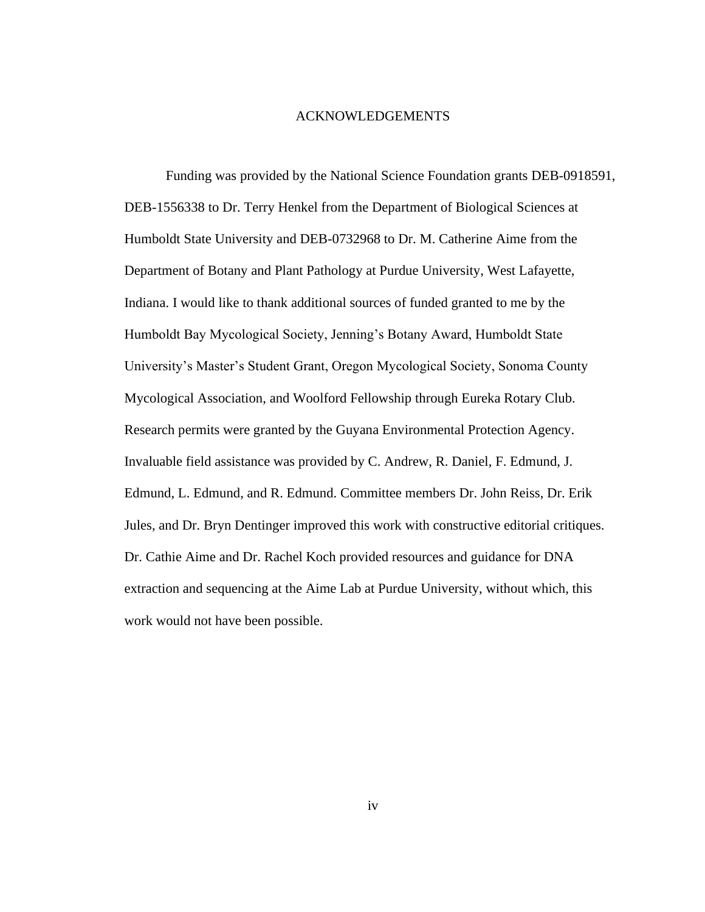#### ACKNOWLEDGEMENTS

<span id="page-3-0"></span>Funding was provided by the National Science Foundation grants DEB-0918591, DEB-1556338 to Dr. Terry Henkel from the Department of Biological Sciences at Humboldt State University and DEB-0732968 to Dr. M. Catherine Aime from the Department of Botany and Plant Pathology at Purdue University, West Lafayette, Indiana. I would like to thank additional sources of funded granted to me by the Humboldt Bay Mycological Society, Jenning's Botany Award, Humboldt State University's Master's Student Grant, Oregon Mycological Society, Sonoma County Mycological Association, and Woolford Fellowship through Eureka Rotary Club. Research permits were granted by the Guyana Environmental Protection Agency. Invaluable field assistance was provided by C. Andrew, R. Daniel, F. Edmund, J. Edmund, L. Edmund, and R. Edmund. Committee members Dr. John Reiss, Dr. Erik Jules, and Dr. Bryn Dentinger improved this work with constructive editorial critiques. Dr. Cathie Aime and Dr. Rachel Koch provided resources and guidance for DNA extraction and sequencing at the Aime Lab at Purdue University, without which, this work would not have been possible.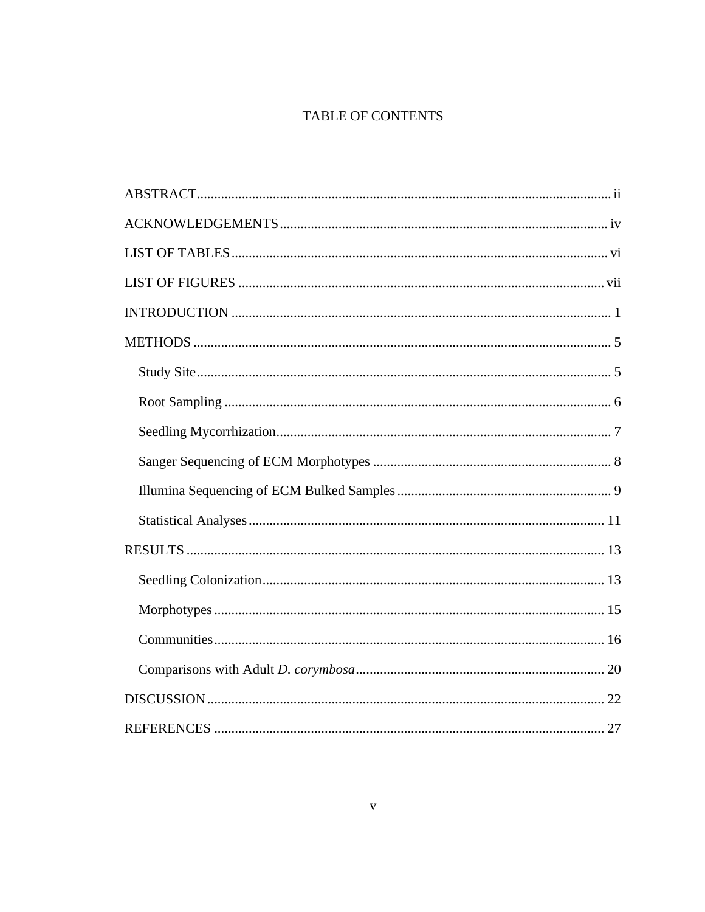# TABLE OF CONTENTS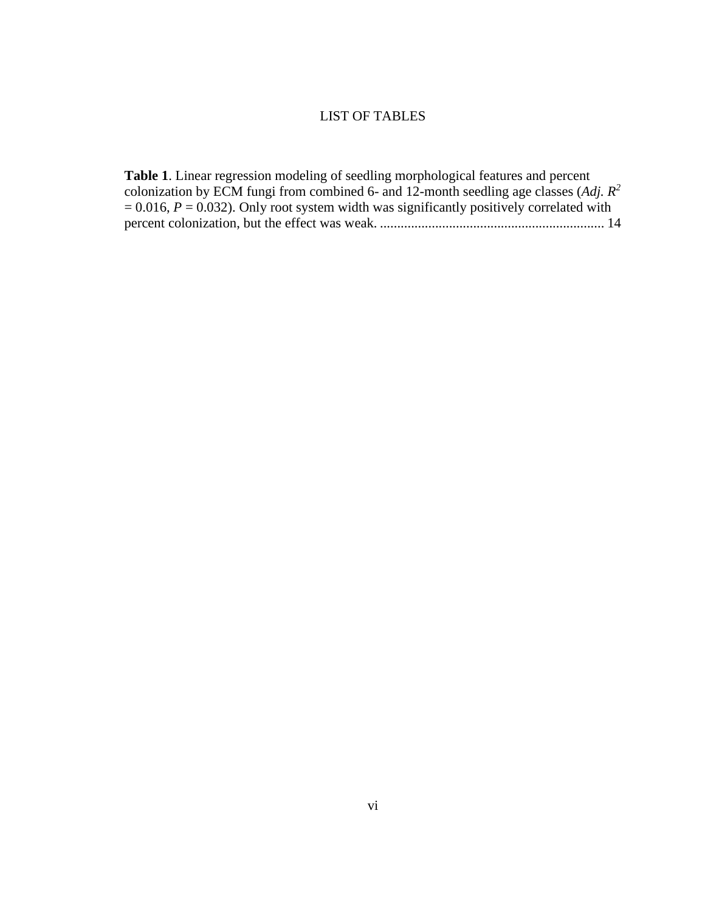# LIST OF TABLES

<span id="page-5-0"></span>**Table 1**[. Linear regression modeling of seedling morphological features and percent](#page-20-0)  [colonization by ECM fungi from combined 6-](#page-20-0) and 12-month seedling age classes (*Adj. R<sup>2</sup>*  $= 0.016$ ,  $P = 0.032$ ). Only root system width was significantly positively correlated with [percent colonization, but the effect was weak.](#page-20-0) ................................................................. 14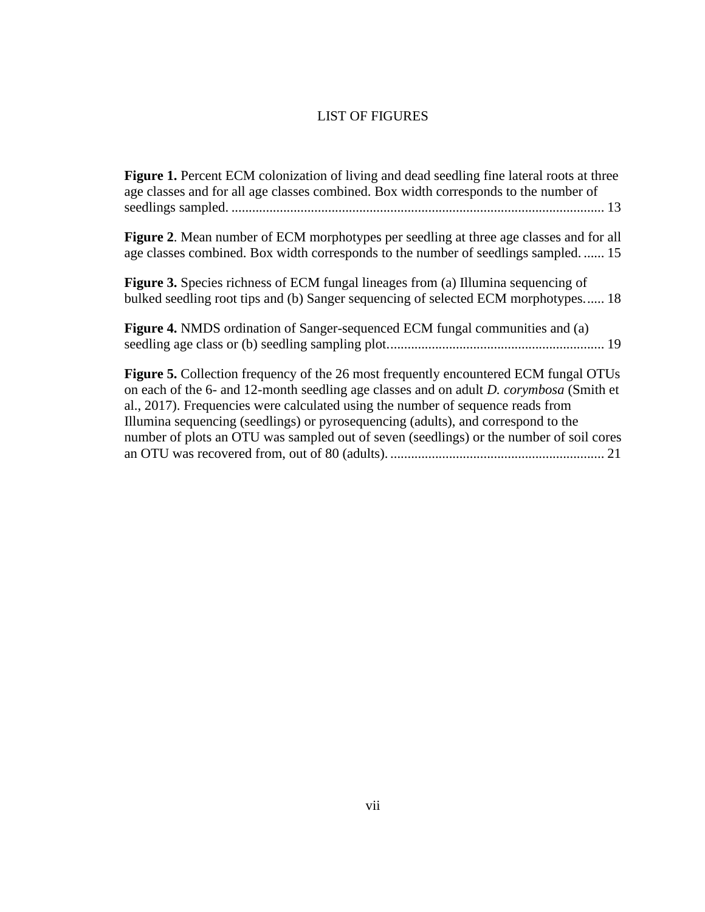# LIST OF FIGURES

<span id="page-6-0"></span>**Figure 1.** Percent ECM colonization of living and dead seedling fine lateral roots at three [age classes and for all age classes combined. Box width corresponds to the number of](#page-19-2)  seedlings sampled. [............................................................................................................](#page-19-2) 13

**Figure 2**[. Mean number of ECM morphotypes per seedling at three age classes and for all](#page-21-1)  [age classes combined. Box width corresponds](#page-21-1) to the number of seedlings sampled. ...... 15

**Figure 3.** [Species richness of ECM fungal lineages from \(a\) Illumina sequencing of](#page-24-0)  [bulked seedling root tips and \(b\) Sanger sequencing of selected ECM morphotypes......](#page-24-0) 18

**Figure 4.** [NMDS ordination of Sanger-sequenced ECM fungal communities and \(a\)](#page-25-0)  [seedling age class or \(b\) seedling sampling plot...............................................................](#page-25-0) 19

**Figure 5.** [Collection frequency of the 26 most frequently encountered ECM fungal OTUs](#page-27-0)  on each of the 6- [and 12-month seedling age classes and on adult](#page-27-0) *D. corymbosa* (Smith et [al., 2017\). Frequencies were calculated using the number of sequence reads from](#page-27-0)  [Illumina sequencing \(seedlings\) or pyrosequencing \(adults\), and correspond to the](#page-27-0)  [number of plots an OTU was sampled out of seven \(seedlings\) or the number of soil cores](#page-27-0)  [an OTU was recovered from, out of 80 \(adults\).](#page-27-0) .............................................................. 21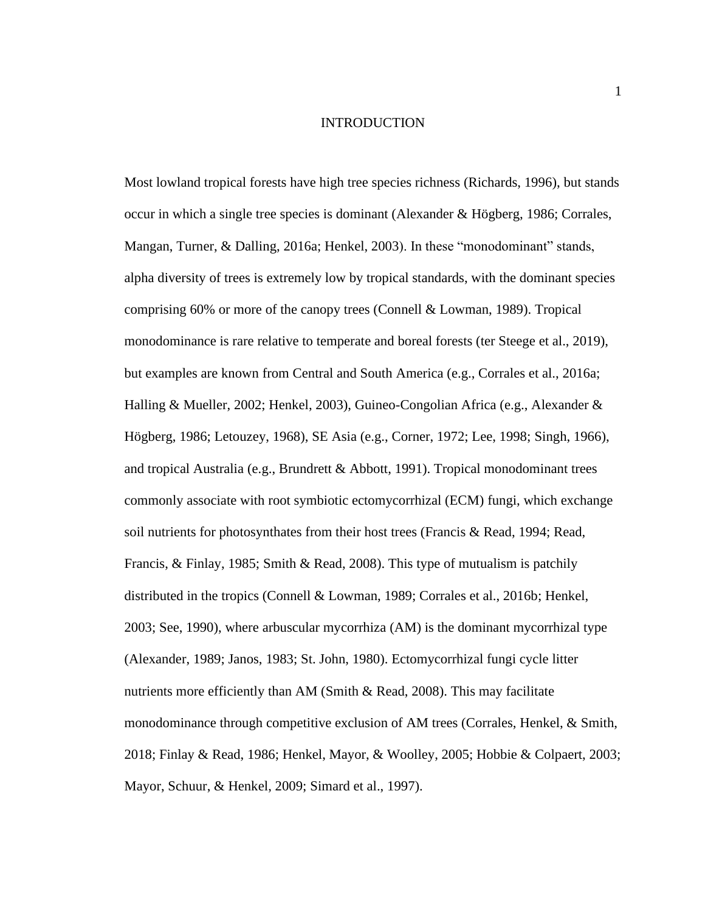#### INTRODUCTION

<span id="page-7-0"></span>Most lowland tropical forests have high tree species richness (Richards, 1996), but stands occur in which a single tree species is dominant (Alexander & Högberg, 1986; Corrales, Mangan, Turner, & Dalling, 2016a; Henkel, 2003). In these "monodominant" stands, alpha diversity of trees is extremely low by tropical standards, with the dominant species comprising 60% or more of the canopy trees (Connell & Lowman, 1989). Tropical monodominance is rare relative to temperate and boreal forests (ter Steege et al., 2019), but examples are known from Central and South America (e.g., Corrales et al., 2016a; Halling & Mueller, 2002; Henkel, 2003), Guineo-Congolian Africa (e.g., Alexander & Högberg, 1986; Letouzey, 1968), SE Asia (e.g., Corner, 1972; Lee, 1998; Singh, 1966), and tropical Australia (e.g., Brundrett & Abbott, 1991). Tropical monodominant trees commonly associate with root symbiotic ectomycorrhizal (ECM) fungi, which exchange soil nutrients for photosynthates from their host trees (Francis & Read, 1994; Read, Francis, & Finlay, 1985; Smith & Read, 2008). This type of mutualism is patchily distributed in the tropics (Connell & Lowman, 1989; Corrales et al., 2016b; Henkel, 2003; See, 1990), where arbuscular mycorrhiza (AM) is the dominant mycorrhizal type (Alexander, 1989; Janos, 1983; St. John, 1980). Ectomycorrhizal fungi cycle litter nutrients more efficiently than AM (Smith  $\&$  Read, 2008). This may facilitate monodominance through competitive exclusion of AM trees (Corrales, Henkel, & Smith, 2018; Finlay & Read, 1986; Henkel, Mayor, & Woolley, 2005; Hobbie & Colpaert, 2003; Mayor, Schuur, & Henkel, 2009; Simard et al., 1997).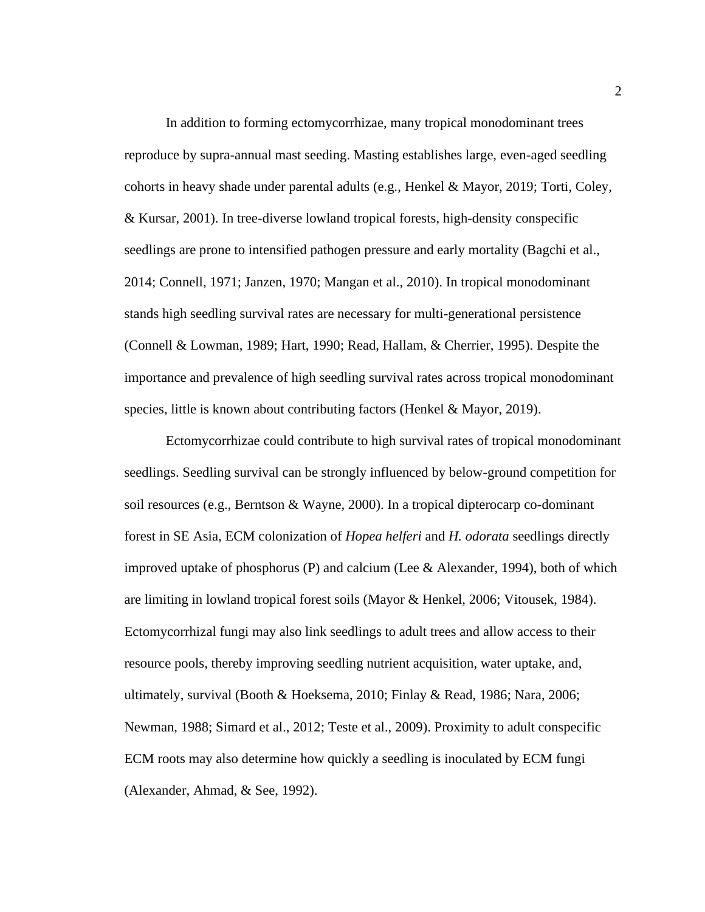In addition to forming ectomycorrhizae, many tropical monodominant trees reproduce by supra-annual mast seeding. Masting establishes large, even-aged seedling cohorts in heavy shade under parental adults (e.g*.*, Henkel & Mayor, 2019; Torti, Coley, & Kursar, 2001). In tree-diverse lowland tropical forests, high-density conspecific seedlings are prone to intensified pathogen pressure and early mortality (Bagchi et al., 2014; Connell, 1971; Janzen, 1970; Mangan et al., 2010). In tropical monodominant stands high seedling survival rates are necessary for multi-generational persistence (Connell & Lowman, 1989; Hart, 1990; Read, Hallam, & Cherrier, 1995). Despite the importance and prevalence of high seedling survival rates across tropical monodominant species, little is known about contributing factors (Henkel & Mayor, 2019).

Ectomycorrhizae could contribute to high survival rates of tropical monodominant seedlings. Seedling survival can be strongly influenced by below-ground competition for soil resources (e.g., Berntson & Wayne, 2000). In a tropical dipterocarp co-dominant forest in SE Asia, ECM colonization of *Hopea helferi* and *H. odorata* seedlings directly improved uptake of phosphorus (P) and calcium (Lee  $\&$  Alexander, 1994), both of which are limiting in lowland tropical forest soils (Mayor & Henkel, 2006; Vitousek, 1984). Ectomycorrhizal fungi may also link seedlings to adult trees and allow access to their resource pools, thereby improving seedling nutrient acquisition, water uptake, and, ultimately, survival (Booth & Hoeksema, 2010; Finlay & Read, 1986; Nara, 2006; Newman, 1988; Simard et al., 2012; Teste et al., 2009). Proximity to adult conspecific ECM roots may also determine how quickly a seedling is inoculated by ECM fungi (Alexander, Ahmad, & See, 1992).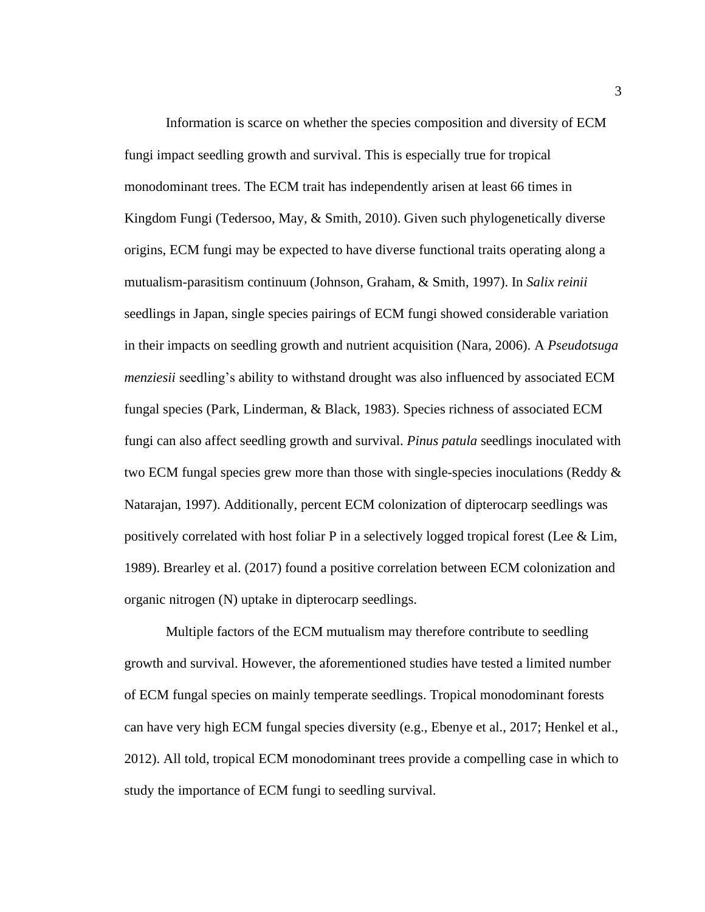Information is scarce on whether the species composition and diversity of ECM fungi impact seedling growth and survival. This is especially true for tropical monodominant trees. The ECM trait has independently arisen at least 66 times in Kingdom Fungi (Tedersoo, May, & Smith, 2010). Given such phylogenetically diverse origins, ECM fungi may be expected to have diverse functional traits operating along a mutualism-parasitism continuum (Johnson, Graham, & Smith, 1997). In *Salix reinii* seedlings in Japan, single species pairings of ECM fungi showed considerable variation in their impacts on seedling growth and nutrient acquisition (Nara, 2006). A *Pseudotsuga menziesii* seedling's ability to withstand drought was also influenced by associated ECM fungal species (Park, Linderman, & Black, 1983). Species richness of associated ECM fungi can also affect seedling growth and survival. *Pinus patula* seedlings inoculated with two ECM fungal species grew more than those with single-species inoculations (Reddy  $\&$ Natarajan, 1997). Additionally, percent ECM colonization of dipterocarp seedlings was positively correlated with host foliar P in a selectively logged tropical forest (Lee  $&$  Lim, 1989). Brearley et al. (2017) found a positive correlation between ECM colonization and organic nitrogen (N) uptake in dipterocarp seedlings.

Multiple factors of the ECM mutualism may therefore contribute to seedling growth and survival. However, the aforementioned studies have tested a limited number of ECM fungal species on mainly temperate seedlings. Tropical monodominant forests can have very high ECM fungal species diversity (e.g., Ebenye et al., 2017; Henkel et al., 2012). All told, tropical ECM monodominant trees provide a compelling case in which to study the importance of ECM fungi to seedling survival.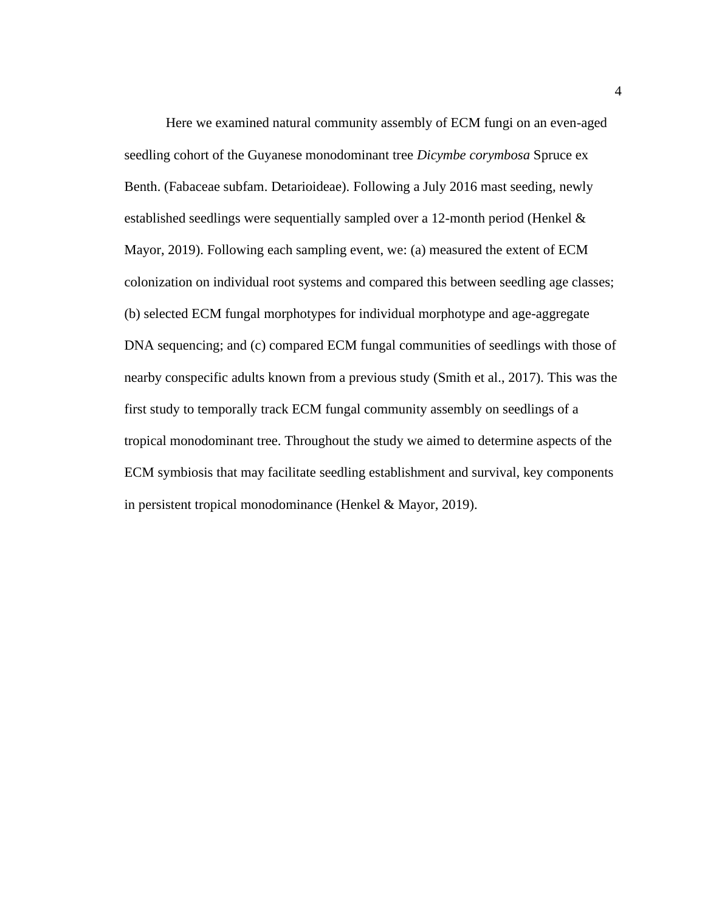Here we examined natural community assembly of ECM fungi on an even-aged seedling cohort of the Guyanese monodominant tree *Dicymbe corymbosa* Spruce ex Benth. (Fabaceae subfam. Detarioideae). Following a July 2016 mast seeding, newly established seedlings were sequentially sampled over a 12-month period (Henkel & Mayor, 2019). Following each sampling event, we: (a) measured the extent of ECM colonization on individual root systems and compared this between seedling age classes; (b) selected ECM fungal morphotypes for individual morphotype and age-aggregate DNA sequencing; and (c) compared ECM fungal communities of seedlings with those of nearby conspecific adults known from a previous study (Smith et al., 2017). This was the first study to temporally track ECM fungal community assembly on seedlings of a tropical monodominant tree. Throughout the study we aimed to determine aspects of the ECM symbiosis that may facilitate seedling establishment and survival, key components in persistent tropical monodominance (Henkel & Mayor, 2019).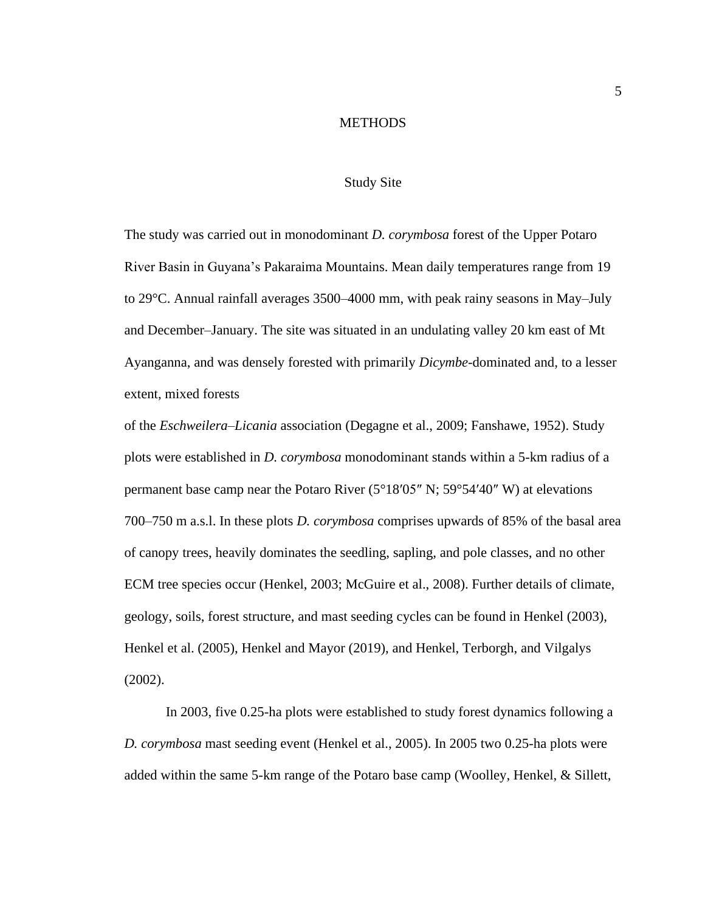#### **METHODS**

# Study Site

<span id="page-11-1"></span><span id="page-11-0"></span>The study was carried out in monodominant *D. corymbosa* forest of the Upper Potaro River Basin in Guyana's Pakaraima Mountains. Mean daily temperatures range from 19 to 29°C. Annual rainfall averages 3500–4000 mm, with peak rainy seasons in May–July and December–January. The site was situated in an undulating valley 20 km east of Mt Ayanganna, and was densely forested with primarily *Dicymbe*-dominated and, to a lesser extent, mixed forests

of the *Eschweilera*–*Licania* association (Degagne et al., 2009; Fanshawe, 1952). Study plots were established in *D. corymbosa* monodominant stands within a 5-km radius of a permanent base camp near the Potaro River (5°18′05″ N; 59°54′40″ W) at elevations 700–750 m a.s.l. In these plots *D. corymbosa* comprises upwards of 85% of the basal area of canopy trees, heavily dominates the seedling, sapling, and pole classes, and no other ECM tree species occur (Henkel, 2003; McGuire et al., 2008). Further details of climate, geology, soils, forest structure, and mast seeding cycles can be found in Henkel (2003), Henkel et al. (2005), Henkel and Mayor (2019), and Henkel, Terborgh, and Vilgalys (2002).

In 2003, five 0.25-ha plots were established to study forest dynamics following a *D. corymbosa* mast seeding event (Henkel et al., 2005). In 2005 two 0.25-ha plots were added within the same 5-km range of the Potaro base camp (Woolley, Henkel, & Sillett,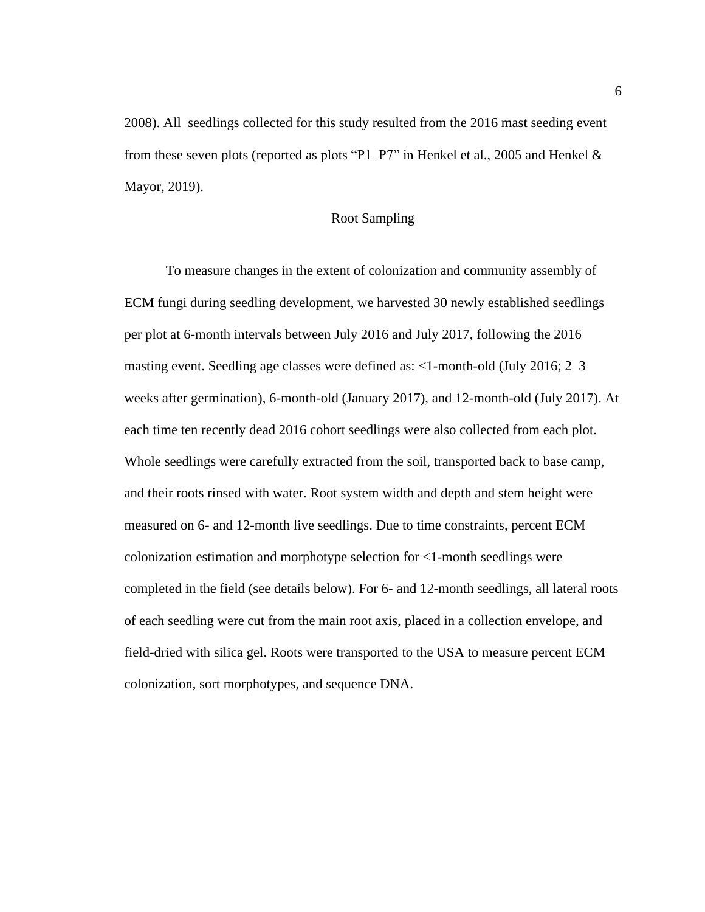2008). All seedlings collected for this study resulted from the 2016 mast seeding event from these seven plots (reported as plots "P1–P7" in Henkel et al., 2005 and Henkel & Mayor, 2019).

# Root Sampling

<span id="page-12-0"></span>To measure changes in the extent of colonization and community assembly of ECM fungi during seedling development, we harvested 30 newly established seedlings per plot at 6-month intervals between July 2016 and July 2017, following the 2016 masting event. Seedling age classes were defined as: <1-month-old (July 2016; 2–3 weeks after germination), 6-month-old (January 2017), and 12-month-old (July 2017). At each time ten recently dead 2016 cohort seedlings were also collected from each plot. Whole seedlings were carefully extracted from the soil, transported back to base camp, and their roots rinsed with water. Root system width and depth and stem height were measured on 6- and 12-month live seedlings. Due to time constraints, percent ECM colonization estimation and morphotype selection for <1-month seedlings were completed in the field (see details below). For 6- and 12-month seedlings, all lateral roots of each seedling were cut from the main root axis, placed in a collection envelope, and field-dried with silica gel. Roots were transported to the USA to measure percent ECM colonization, sort morphotypes, and sequence DNA.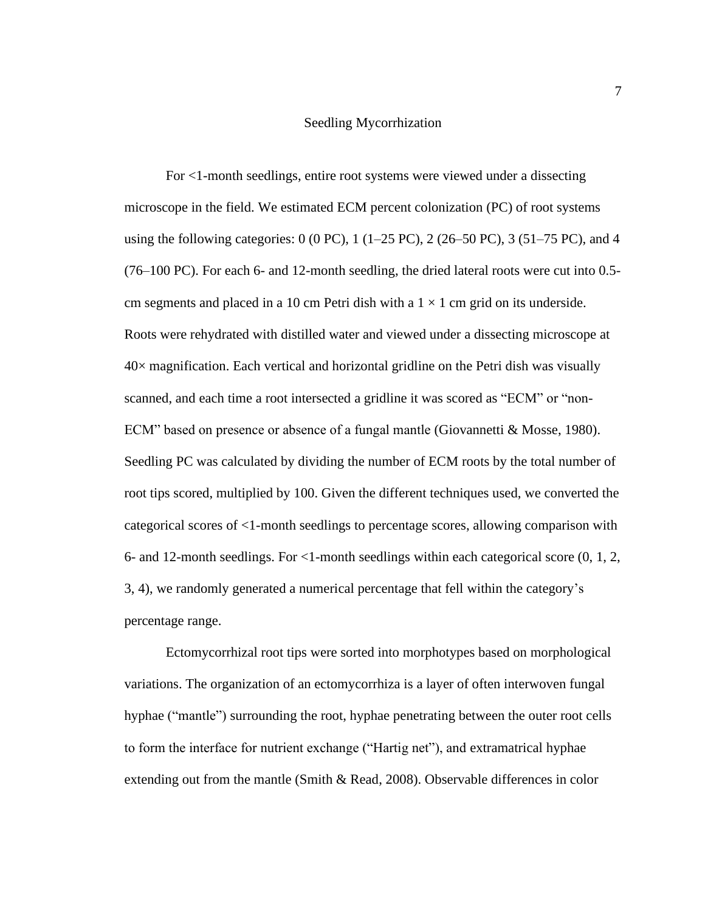#### Seedling Mycorrhization

<span id="page-13-0"></span>For <1-month seedlings, entire root systems were viewed under a dissecting microscope in the field. We estimated ECM percent colonization (PC) of root systems using the following categories:  $0$  (0 PC), 1 (1–25 PC), 2 (26–50 PC), 3 (51–75 PC), and 4 (76–100 PC). For each 6- and 12-month seedling, the dried lateral roots were cut into 0.5 cm segments and placed in a 10 cm Petri dish with a  $1 \times 1$  cm grid on its underside. Roots were rehydrated with distilled water and viewed under a dissecting microscope at  $40\times$  magnification. Each vertical and horizontal gridline on the Petri dish was visually scanned, and each time a root intersected a gridline it was scored as "ECM" or "non-ECM" based on presence or absence of a fungal mantle (Giovannetti & Mosse, 1980). Seedling PC was calculated by dividing the number of ECM roots by the total number of root tips scored, multiplied by 100. Given the different techniques used, we converted the categorical scores of <1-month seedlings to percentage scores, allowing comparison with 6- and 12-month seedlings. For <1-month seedlings within each categorical score (0, 1, 2, 3, 4), we randomly generated a numerical percentage that fell within the category's percentage range.

Ectomycorrhizal root tips were sorted into morphotypes based on morphological variations. The organization of an ectomycorrhiza is a layer of often interwoven fungal hyphae ("mantle") surrounding the root, hyphae penetrating between the outer root cells to form the interface for nutrient exchange ("Hartig net"), and extramatrical hyphae extending out from the mantle (Smith & Read, 2008). Observable differences in color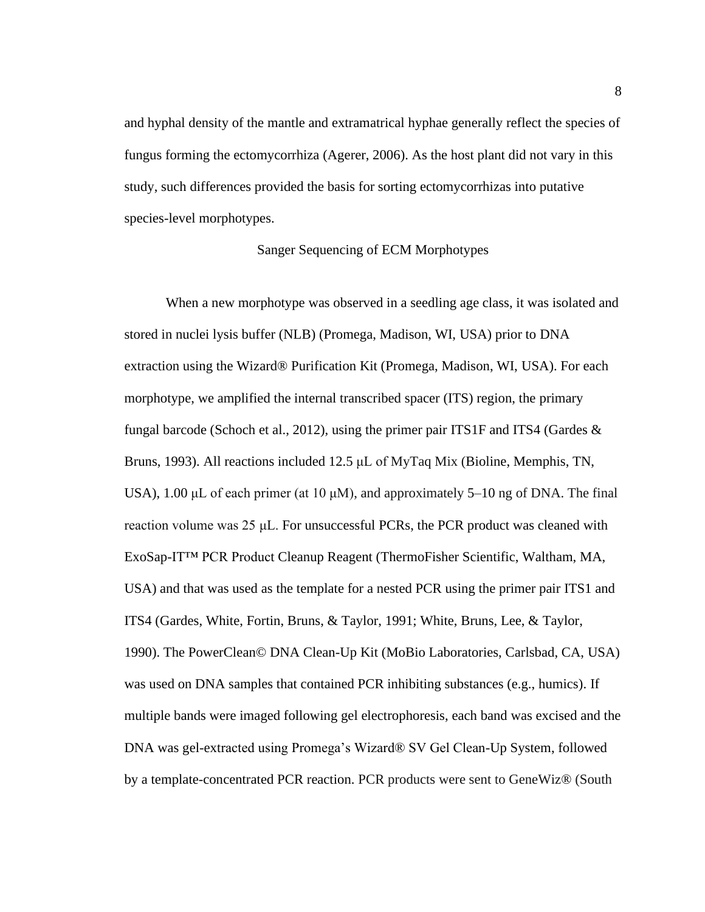and hyphal density of the mantle and extramatrical hyphae generally reflect the species of fungus forming the ectomycorrhiza (Agerer, 2006). As the host plant did not vary in this study, such differences provided the basis for sorting ectomycorrhizas into putative species-level morphotypes.

# Sanger Sequencing of ECM Morphotypes

<span id="page-14-0"></span>When a new morphotype was observed in a seedling age class, it was isolated and stored in nuclei lysis buffer (NLB) (Promega, Madison, WI, USA) prior to DNA extraction using the Wizard® Purification Kit (Promega, Madison, WI, USA). For each morphotype, we amplified the internal transcribed spacer (ITS) region, the primary fungal barcode (Schoch et al., 2012), using the primer pair ITS1F and ITS4 (Gardes & Bruns, 1993). All reactions included 12.5 μL of MyTaq Mix (Bioline, Memphis, TN, USA), 1.00  $\mu$ L of each primer (at 10  $\mu$ M), and approximately 5–10 ng of DNA. The final reaction volume was 25 μL. For unsuccessful PCRs, the PCR product was cleaned with ExoSap-IT™ PCR Product Cleanup Reagent (ThermoFisher Scientific, Waltham, MA, USA) and that was used as the template for a nested PCR using the primer pair ITS1 and ITS4 (Gardes, White, Fortin, Bruns, & Taylor, 1991; White, Bruns, Lee, & Taylor, 1990). The PowerClean© DNA Clean-Up Kit (MoBio Laboratories, Carlsbad, CA, USA) was used on DNA samples that contained PCR inhibiting substances (e.g., humics). If multiple bands were imaged following gel electrophoresis, each band was excised and the DNA was gel-extracted using Promega's Wizard® SV Gel Clean-Up System, followed by a template-concentrated PCR reaction. PCR products were sent to GeneWiz® (South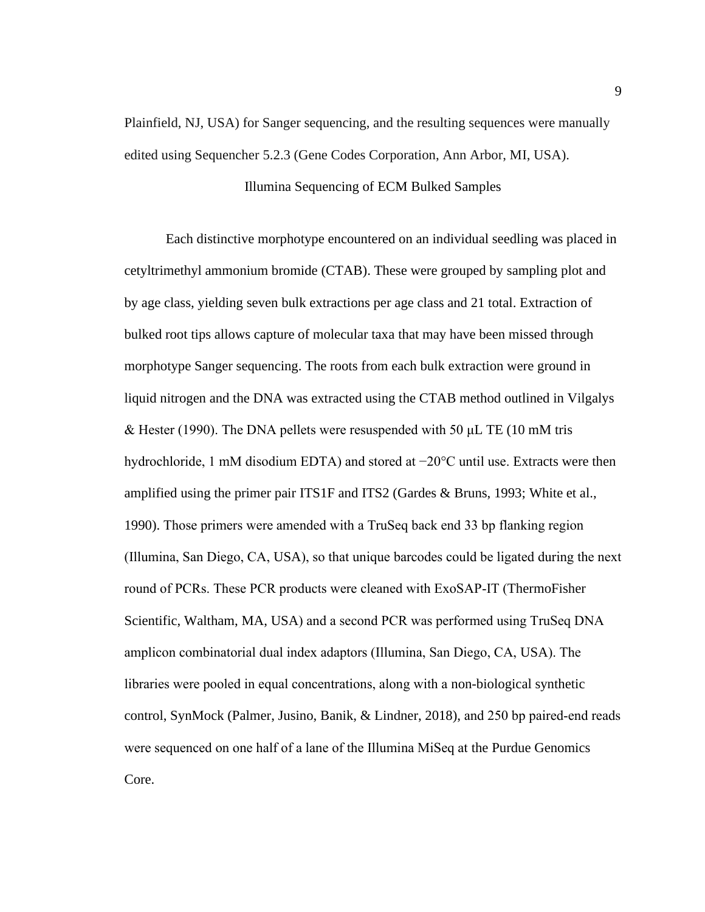Plainfield, NJ, USA) for Sanger sequencing, and the resulting sequences were manually edited using Sequencher 5.2.3 (Gene Codes Corporation, Ann Arbor, MI, USA).

# Illumina Sequencing of ECM Bulked Samples

<span id="page-15-0"></span>Each distinctive morphotype encountered on an individual seedling was placed in cetyltrimethyl ammonium bromide (CTAB). These were grouped by sampling plot and by age class, yielding seven bulk extractions per age class and 21 total. Extraction of bulked root tips allows capture of molecular taxa that may have been missed through morphotype Sanger sequencing. The roots from each bulk extraction were ground in liquid nitrogen and the DNA was extracted using the CTAB method outlined in Vilgalys & Hester (1990). The DNA pellets were resuspended with 50  $\mu$ L TE (10 mM tris hydrochloride, 1 mM disodium EDTA) and stored at −20°C until use. Extracts were then amplified using the primer pair ITS1F and ITS2 (Gardes & Bruns, 1993; White et al., 1990). Those primers were amended with a TruSeq back end 33 bp flanking region (Illumina, San Diego, CA, USA), so that unique barcodes could be ligated during the next round of PCRs. These PCR products were cleaned with ExoSAP-IT (ThermoFisher Scientific, Waltham, MA, USA) and a second PCR was performed using TruSeq DNA amplicon combinatorial dual index adaptors (Illumina, San Diego, CA, USA). The libraries were pooled in equal concentrations, along with a non-biological synthetic control, SynMock (Palmer, Jusino, Banik, & Lindner, 2018), and 250 bp paired-end reads were sequenced on one half of a lane of the Illumina MiSeq at the Purdue Genomics Core.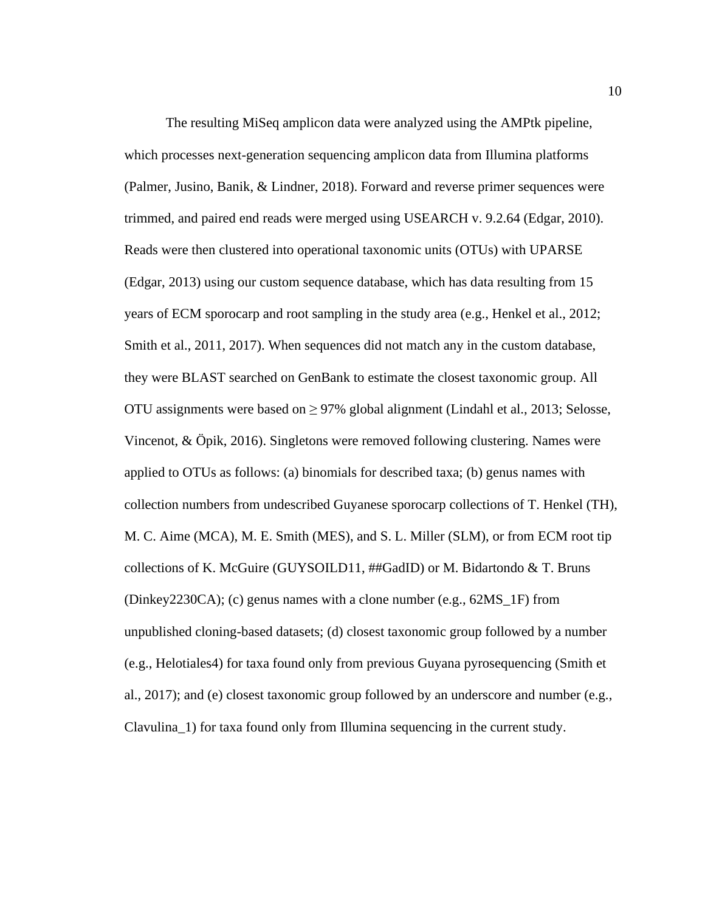The resulting MiSeq amplicon data were analyzed using the AMPtk pipeline, which processes next-generation sequencing amplicon data from Illumina platforms (Palmer, Jusino, Banik, & Lindner, 2018). Forward and reverse primer sequences were trimmed, and paired end reads were merged using USEARCH v. 9.2.64 (Edgar, 2010). Reads were then clustered into operational taxonomic units (OTUs) with UPARSE (Edgar, 2013) using our custom sequence database, which has data resulting from 15 years of ECM sporocarp and root sampling in the study area (e.g., Henkel et al., 2012; Smith et al., 2011, 2017). When sequences did not match any in the custom database, they were BLAST searched on GenBank to estimate the closest taxonomic group. All OTU assignments were based on  $\geq$  97% global alignment (Lindahl et al., 2013; Selosse, Vincenot, & Öpik, 2016). Singletons were removed following clustering. Names were applied to OTUs as follows: (a) binomials for described taxa; (b) genus names with collection numbers from undescribed Guyanese sporocarp collections of T. Henkel (TH), M. C. Aime (MCA), M. E. Smith (MES), and S. L. Miller (SLM), or from ECM root tip collections of K. McGuire (GUYSOILD11, ##GadID) or M. Bidartondo & T. Bruns (Dinkey2230CA); (c) genus names with a clone number (e.g., 62MS\_1F) from unpublished cloning-based datasets; (d) closest taxonomic group followed by a number (e.g., Helotiales4) for taxa found only from previous Guyana pyrosequencing (Smith et al., 2017); and (e) closest taxonomic group followed by an underscore and number (e.g., Clavulina\_1) for taxa found only from Illumina sequencing in the current study.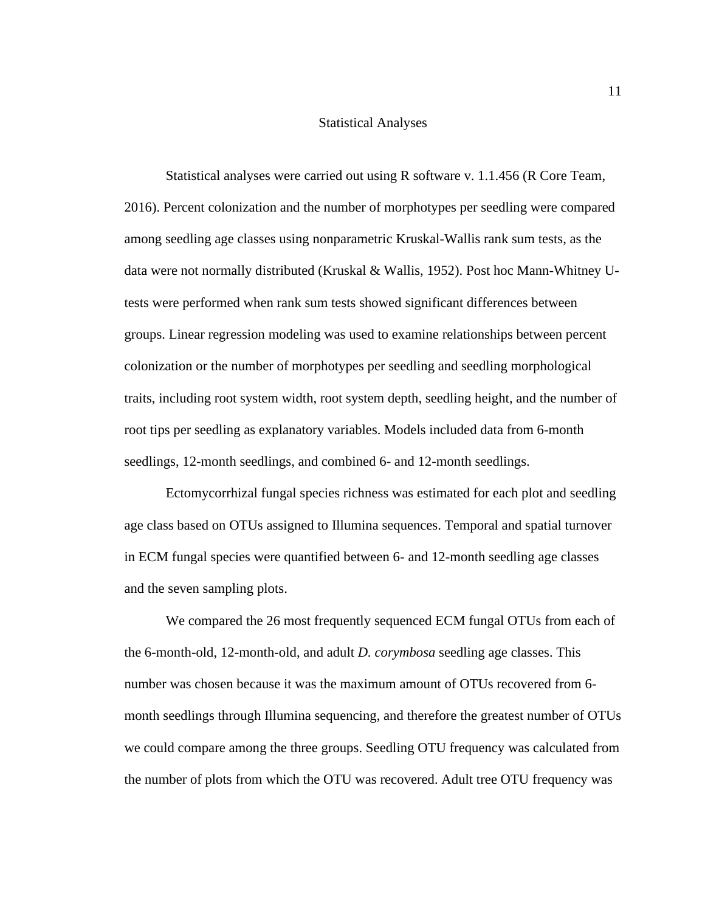# Statistical Analyses

<span id="page-17-0"></span>Statistical analyses were carried out using R software v. 1.1.456 (R Core Team, 2016). Percent colonization and the number of morphotypes per seedling were compared among seedling age classes using nonparametric Kruskal-Wallis rank sum tests, as the data were not normally distributed (Kruskal & Wallis, 1952). Post hoc Mann-Whitney Utests were performed when rank sum tests showed significant differences between groups. Linear regression modeling was used to examine relationships between percent colonization or the number of morphotypes per seedling and seedling morphological traits, including root system width, root system depth, seedling height, and the number of root tips per seedling as explanatory variables. Models included data from 6-month seedlings, 12-month seedlings, and combined 6- and 12-month seedlings.

Ectomycorrhizal fungal species richness was estimated for each plot and seedling age class based on OTUs assigned to Illumina sequences. Temporal and spatial turnover in ECM fungal species were quantified between 6- and 12-month seedling age classes and the seven sampling plots.

We compared the 26 most frequently sequenced ECM fungal OTUs from each of the 6-month-old, 12-month-old, and adult *D. corymbosa* seedling age classes. This number was chosen because it was the maximum amount of OTUs recovered from 6 month seedlings through Illumina sequencing, and therefore the greatest number of OTUs we could compare among the three groups. Seedling OTU frequency was calculated from the number of plots from which the OTU was recovered. Adult tree OTU frequency was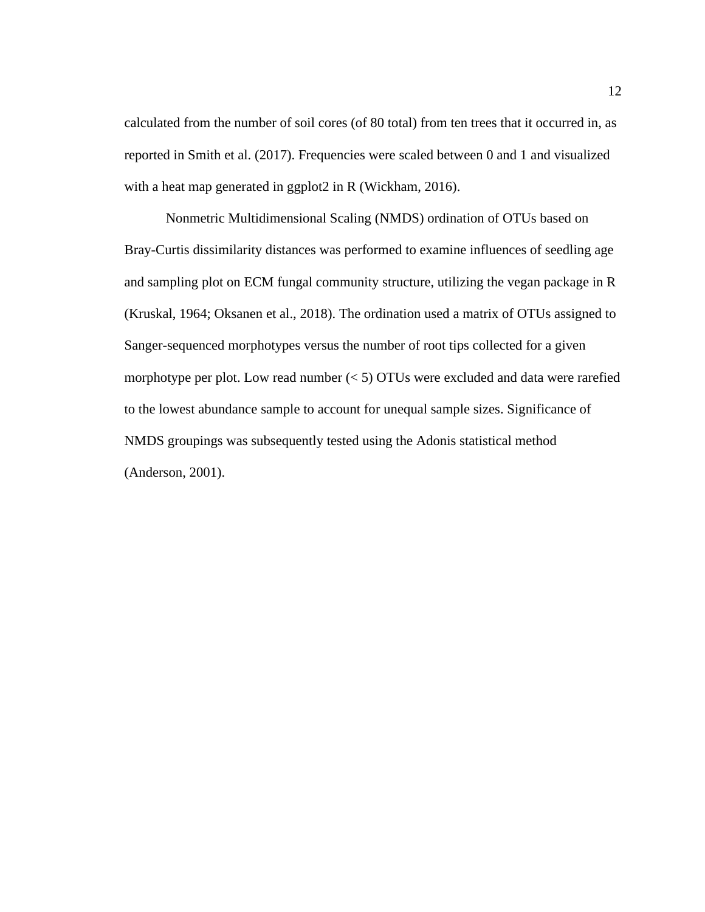calculated from the number of soil cores (of 80 total) from ten trees that it occurred in, as reported in Smith et al. (2017). Frequencies were scaled between 0 and 1 and visualized with a heat map generated in ggplot2 in R (Wickham, 2016).

Nonmetric Multidimensional Scaling (NMDS) ordination of OTUs based on Bray-Curtis dissimilarity distances was performed to examine influences of seedling age and sampling plot on ECM fungal community structure, utilizing the vegan package in R (Kruskal, 1964; Oksanen et al., 2018). The ordination used a matrix of OTUs assigned to Sanger-sequenced morphotypes versus the number of root tips collected for a given morphotype per plot. Low read number  $(< 5)$  OTUs were excluded and data were rarefied to the lowest abundance sample to account for unequal sample sizes. Significance of NMDS groupings was subsequently tested using the Adonis statistical method (Anderson, 2001).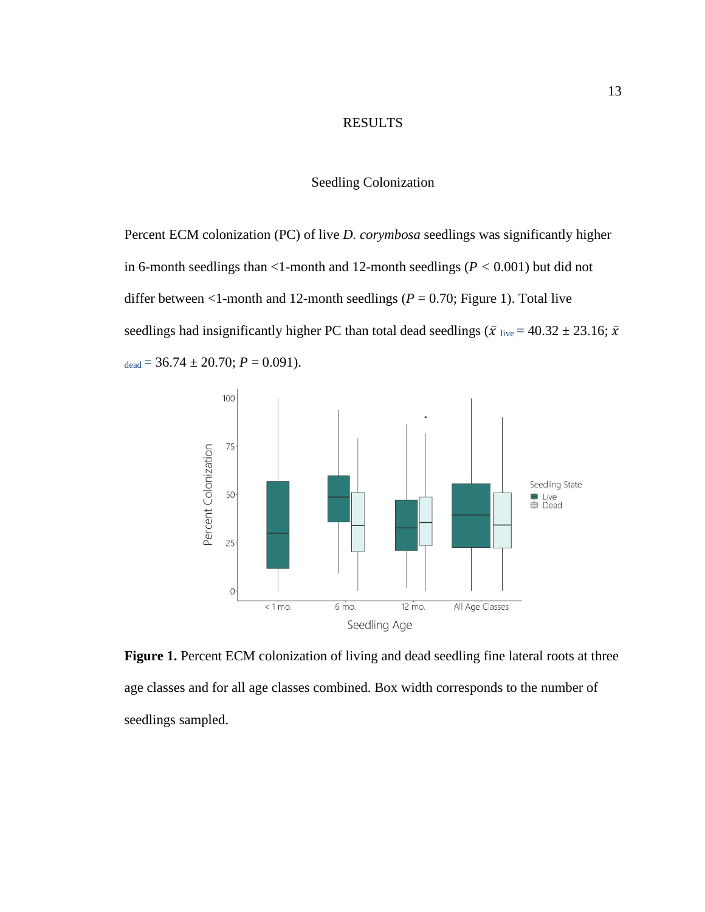# RESULTS

#### Seedling Colonization

<span id="page-19-1"></span><span id="page-19-0"></span>Percent ECM colonization (PC) of live *D. corymbosa* seedlings was significantly higher in 6-month seedlings than  $\leq$ 1-month and 12-month seedlings ( $P \leq 0.001$ ) but did not differ between  $\leq 1$ -month and 12-month seedlings ( $P = 0.70$ ; Figure 1). Total live seedlings had insignificantly higher PC than total dead seedlings ( $\bar{x}$  live = 40.32  $\pm$  23.16;  $\bar{x}$ )  $_{\text{dead}} = 36.74 \pm 20.70$ ;  $P = 0.091$ ).



<span id="page-19-2"></span>Figure 1. Percent ECM colonization of living and dead seedling fine lateral roots at three age classes and for all age classes combined. Box width corresponds to the number of seedlings sampled.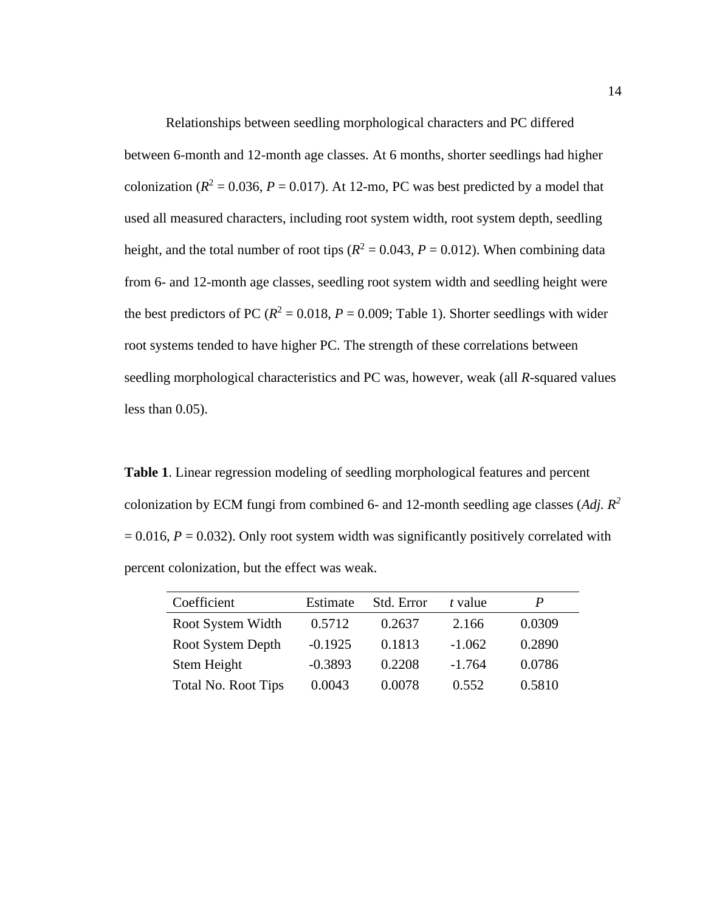Relationships between seedling morphological characters and PC differed between 6-month and 12-month age classes. At 6 months, shorter seedlings had higher colonization ( $R^2 = 0.036$ ,  $P = 0.017$ ). At 12-mo, PC was best predicted by a model that used all measured characters, including root system width, root system depth, seedling height, and the total number of root tips ( $R^2 = 0.043$ ,  $P = 0.012$ ). When combining data from 6- and 12-month age classes, seedling root system width and seedling height were the best predictors of PC ( $R^2 = 0.018$ ,  $P = 0.009$ ; Table 1). Shorter seedlings with wider root systems tended to have higher PC. The strength of these correlations between seedling morphological characteristics and PC was, however, weak (all *R*-squared values less than 0.05).

<span id="page-20-0"></span>**Table 1**. Linear regression modeling of seedling morphological features and percent colonization by ECM fungi from combined 6- and 12-month seedling age classes (*Adj. R<sup>2</sup>*  $= 0.016$ ,  $P = 0.032$ ). Only root system width was significantly positively correlated with percent colonization, but the effect was weak.

| Coefficient                | Estimate  | Std. Error | t value  | P      |
|----------------------------|-----------|------------|----------|--------|
| Root System Width          | 0.5712    | 0.2637     | 2.166    | 0.0309 |
| Root System Depth          | $-0.1925$ | 0.1813     | $-1.062$ | 0.2890 |
| Stem Height                | $-0.3893$ | 0.2208     | $-1.764$ | 0.0786 |
| <b>Total No. Root Tips</b> | 0.0043    | 0.0078     | 0.552    | 0.5810 |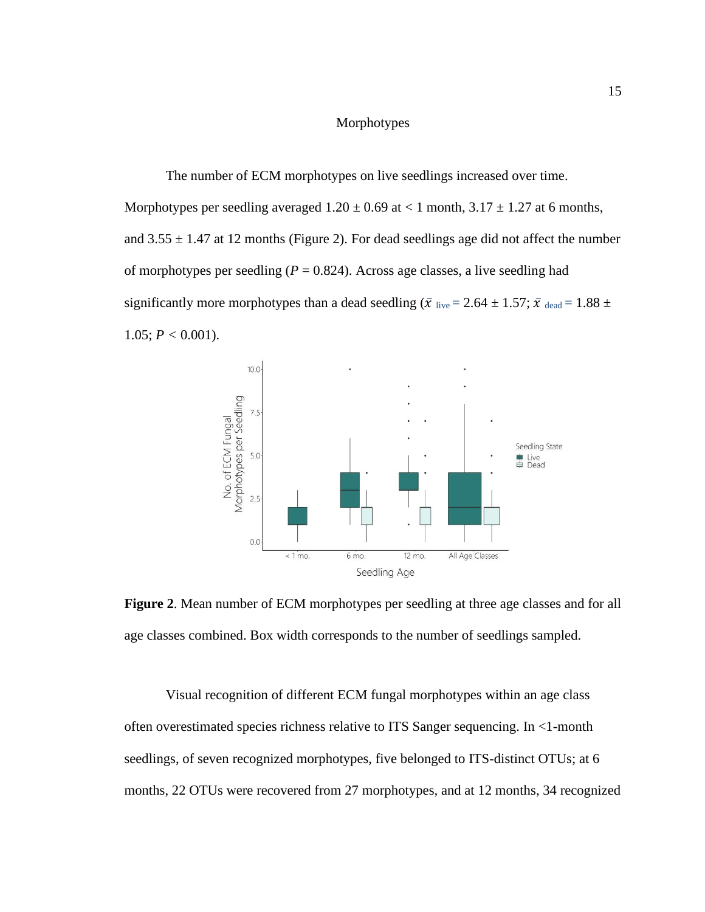#### Morphotypes

<span id="page-21-0"></span>The number of ECM morphotypes on live seedlings increased over time. Morphotypes per seedling averaged  $1.20 \pm 0.69$  at  $< 1$  month,  $3.17 \pm 1.27$  at 6 months, and  $3.55 \pm 1.47$  at 12 months (Figure 2). For dead seedlings age did not affect the number of morphotypes per seedling  $(P = 0.824)$ . Across age classes, a live seedling had significantly more morphotypes than a dead seedling ( $\bar{x}$  live = 2.64  $\pm$  1.57;  $\bar{x}$  dead = 1.88  $\pm$ 1.05;  $P < 0.001$ ).



<span id="page-21-1"></span>**Figure 2**. Mean number of ECM morphotypes per seedling at three age classes and for all age classes combined. Box width corresponds to the number of seedlings sampled.

Visual recognition of different ECM fungal morphotypes within an age class often overestimated species richness relative to ITS Sanger sequencing. In <1-month seedlings, of seven recognized morphotypes, five belonged to ITS-distinct OTUs; at 6 months, 22 OTUs were recovered from 27 morphotypes, and at 12 months, 34 recognized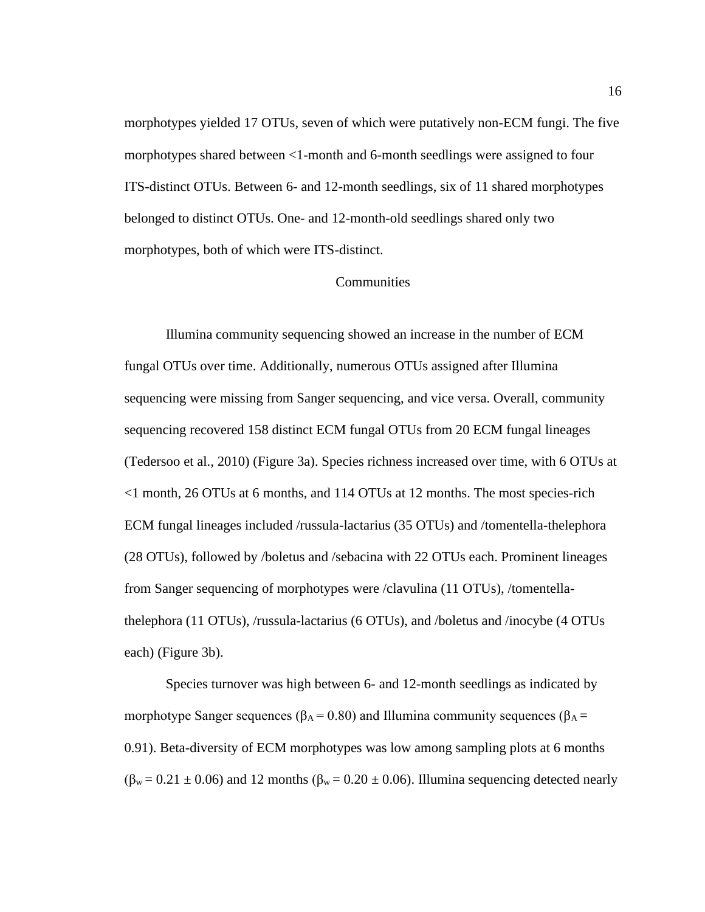morphotypes yielded 17 OTUs, seven of which were putatively non-ECM fungi. The five morphotypes shared between <1-month and 6-month seedlings were assigned to four ITS-distinct OTUs. Between 6- and 12-month seedlings, six of 11 shared morphotypes belonged to distinct OTUs. One- and 12-month-old seedlings shared only two morphotypes, both of which were ITS-distinct.

#### **Communities**

<span id="page-22-0"></span>Illumina community sequencing showed an increase in the number of ECM fungal OTUs over time. Additionally, numerous OTUs assigned after Illumina sequencing were missing from Sanger sequencing, and vice versa. Overall, community sequencing recovered 158 distinct ECM fungal OTUs from 20 ECM fungal lineages (Tedersoo et al., 2010) (Figure 3a). Species richness increased over time, with 6 OTUs at <1 month, 26 OTUs at 6 months, and 114 OTUs at 12 months. The most species-rich ECM fungal lineages included /russula-lactarius (35 OTUs) and /tomentella-thelephora (28 OTUs), followed by /boletus and /sebacina with 22 OTUs each. Prominent lineages from Sanger sequencing of morphotypes were /clavulina (11 OTUs), /tomentellathelephora (11 OTUs), /russula-lactarius (6 OTUs), and /boletus and /inocybe (4 OTUs each) (Figure 3b).

Species turnover was high between 6- and 12-month seedlings as indicated by morphotype Sanger sequences ( $\beta_A = 0.80$ ) and Illumina community sequences ( $\beta_A =$ 0.91). Beta-diversity of ECM morphotypes was low among sampling plots at 6 months  $(\beta_w = 0.21 \pm 0.06)$  and 12 months  $(\beta_w = 0.20 \pm 0.06)$ . Illumina sequencing detected nearly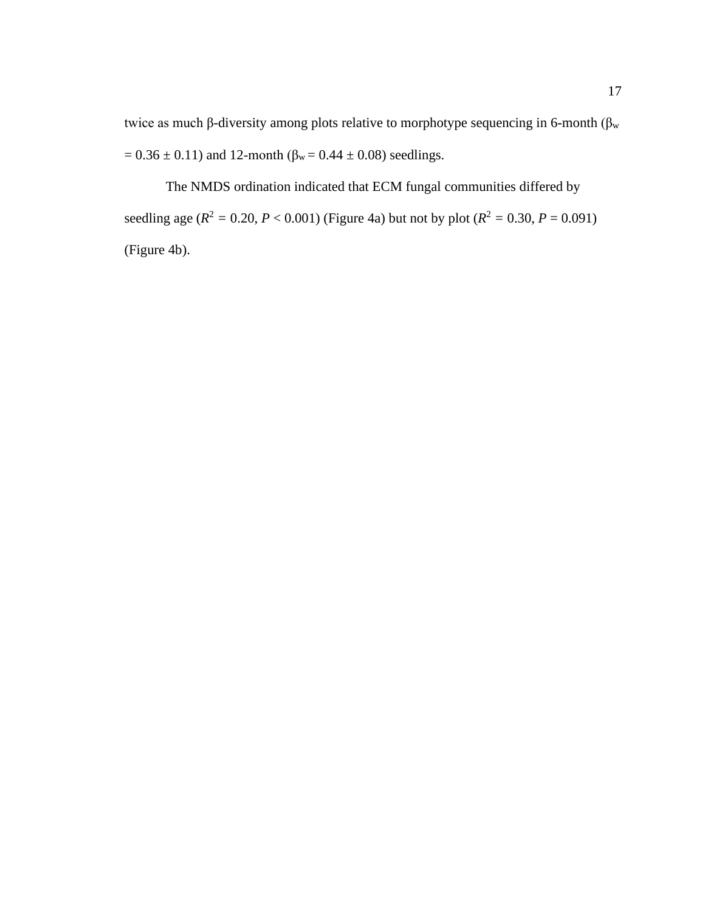twice as much β-diversity among plots relative to morphotype sequencing in 6-month ( $β<sub>w</sub>$ =  $0.36 \pm 0.11$ ) and 12-month ( $\beta_w = 0.44 \pm 0.08$ ) seedlings.

The NMDS ordination indicated that ECM fungal communities differed by seedling age ( $R^2 = 0.20$ ,  $P < 0.001$ ) (Figure 4a) but not by plot ( $R^2 = 0.30$ ,  $P = 0.091$ ) (Figure 4b).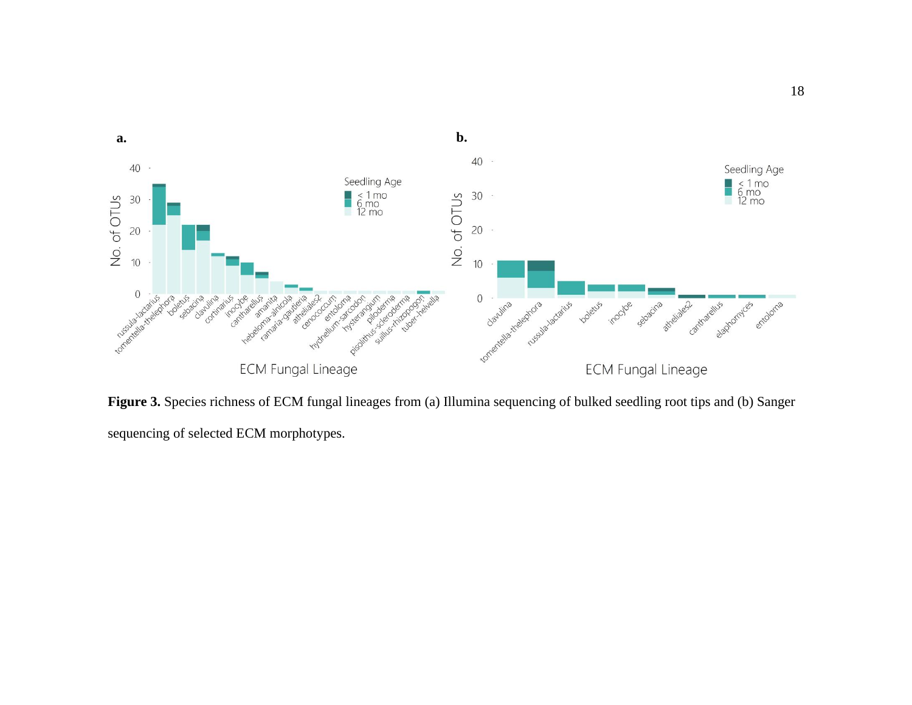

<span id="page-24-0"></span>**Figure 3.** Species richness of ECM fungal lineages from (a) Illumina sequencing of bulked seedling root tips and (b) Sanger sequencing of selected ECM morphotypes.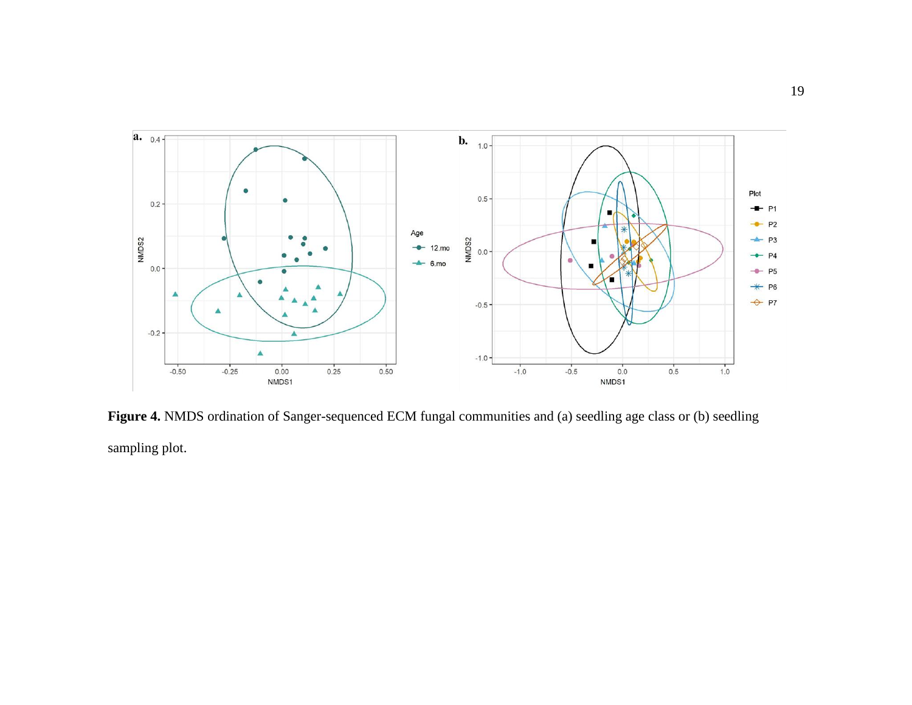

<span id="page-25-0"></span>**Figure 4.** NMDS ordination of Sanger-sequenced ECM fungal communities and (a) seedling age class or (b) seedling sampling plot.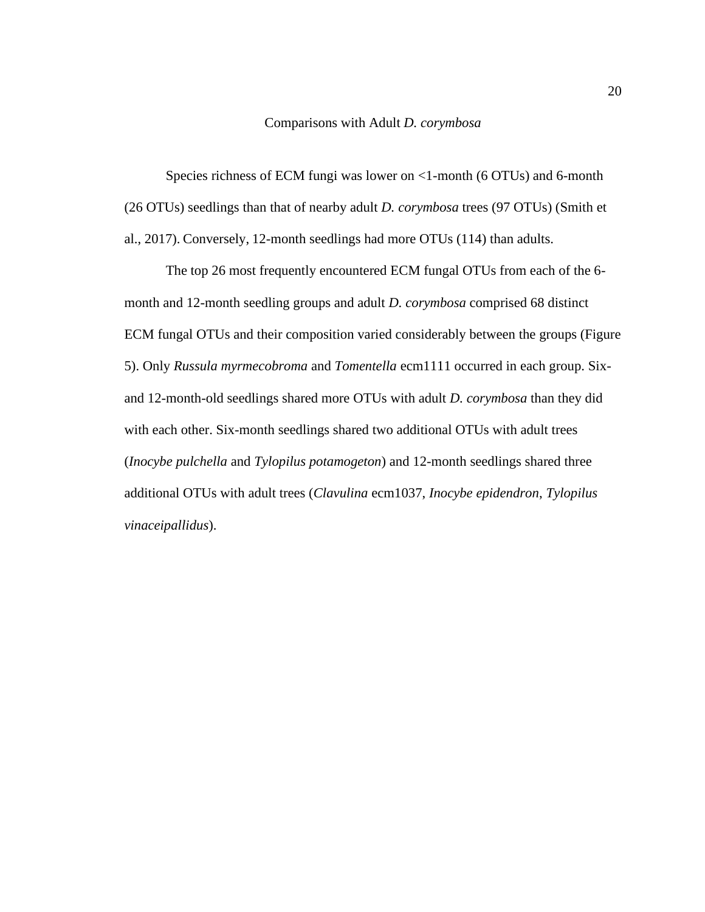#### Comparisons with Adult *D. corymbosa*

<span id="page-26-0"></span>Species richness of ECM fungi was lower on <1-month (6 OTUs) and 6-month (26 OTUs) seedlings than that of nearby adult *D. corymbosa* trees (97 OTUs) (Smith et al., 2017). Conversely, 12-month seedlings had more OTUs (114) than adults.

The top 26 most frequently encountered ECM fungal OTUs from each of the 6 month and 12-month seedling groups and adult *D. corymbosa* comprised 68 distinct ECM fungal OTUs and their composition varied considerably between the groups (Figure 5). Only *Russula myrmecobroma* and *Tomentella* ecm1111 occurred in each group. Sixand 12-month-old seedlings shared more OTUs with adult *D. corymbosa* than they did with each other. Six-month seedlings shared two additional OTUs with adult trees (*Inocybe pulchella* and *Tylopilus potamogeton*) and 12-month seedlings shared three additional OTUs with adult trees (*Clavulina* ecm1037, *Inocybe epidendron*, *Tylopilus vinaceipallidus*).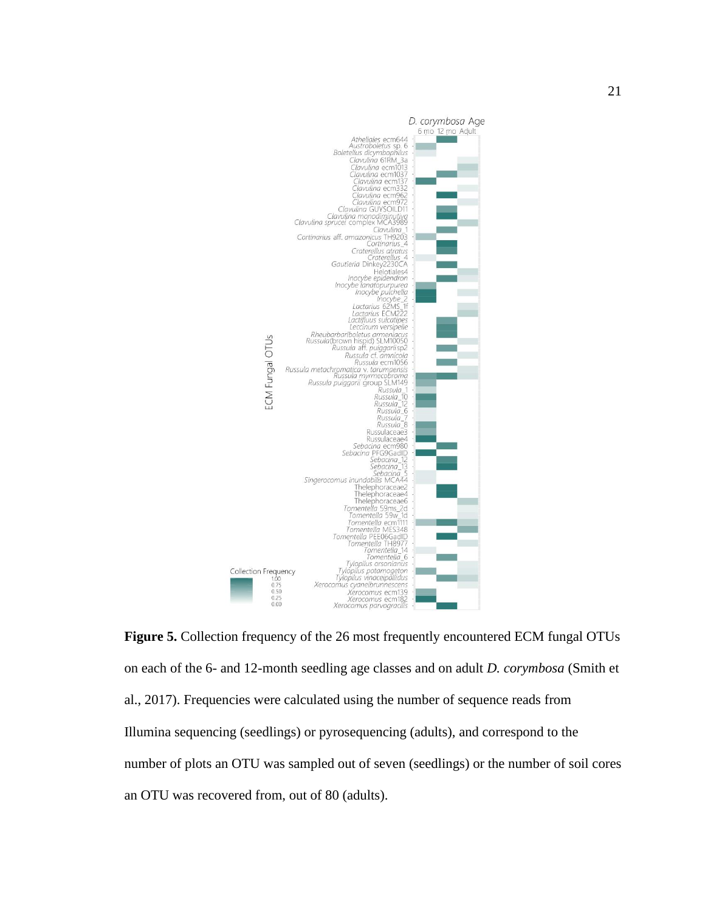

<span id="page-27-0"></span>**Figure 5.** Collection frequency of the 26 most frequently encountered ECM fungal OTUs on each of the 6- and 12-month seedling age classes and on adult *D. corymbosa* (Smith et al., 2017). Frequencies were calculated using the number of sequence reads from Illumina sequencing (seedlings) or pyrosequencing (adults), and correspond to the number of plots an OTU was sampled out of seven (seedlings) or the number of soil cores an OTU was recovered from, out of 80 (adults).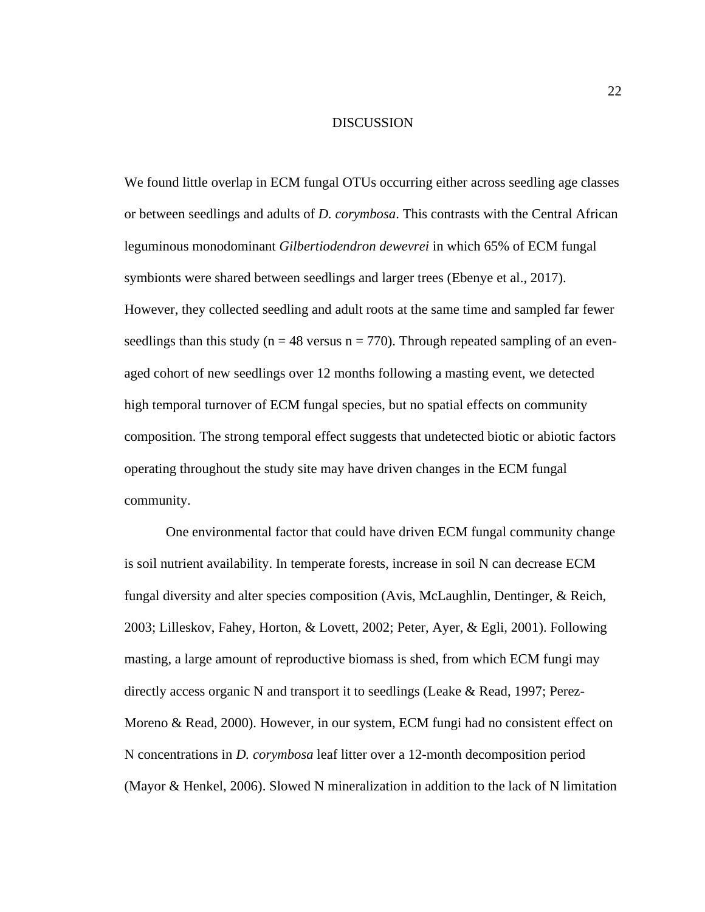#### DISCUSSION

<span id="page-28-0"></span>We found little overlap in ECM fungal OTUs occurring either across seedling age classes or between seedlings and adults of *D. corymbosa*. This contrasts with the Central African leguminous monodominant *Gilbertiodendron dewevrei* in which 65% of ECM fungal symbionts were shared between seedlings and larger trees (Ebenye et al., 2017). However, they collected seedling and adult roots at the same time and sampled far fewer seedlings than this study ( $n = 48$  versus  $n = 770$ ). Through repeated sampling of an evenaged cohort of new seedlings over 12 months following a masting event, we detected high temporal turnover of ECM fungal species, but no spatial effects on community composition. The strong temporal effect suggests that undetected biotic or abiotic factors operating throughout the study site may have driven changes in the ECM fungal community.

One environmental factor that could have driven ECM fungal community change is soil nutrient availability. In temperate forests, increase in soil N can decrease ECM fungal diversity and alter species composition (Avis, McLaughlin, Dentinger, & Reich, 2003; Lilleskov, Fahey, Horton, & Lovett, 2002; Peter, Ayer, & Egli, 2001). Following masting, a large amount of reproductive biomass is shed, from which ECM fungi may directly access organic N and transport it to seedlings (Leake & Read, 1997; Perez-Moreno & Read, 2000). However, in our system, ECM fungi had no consistent effect on N concentrations in *D. corymbosa* leaf litter over a 12-month decomposition period (Mayor & Henkel, 2006). Slowed N mineralization in addition to the lack of N limitation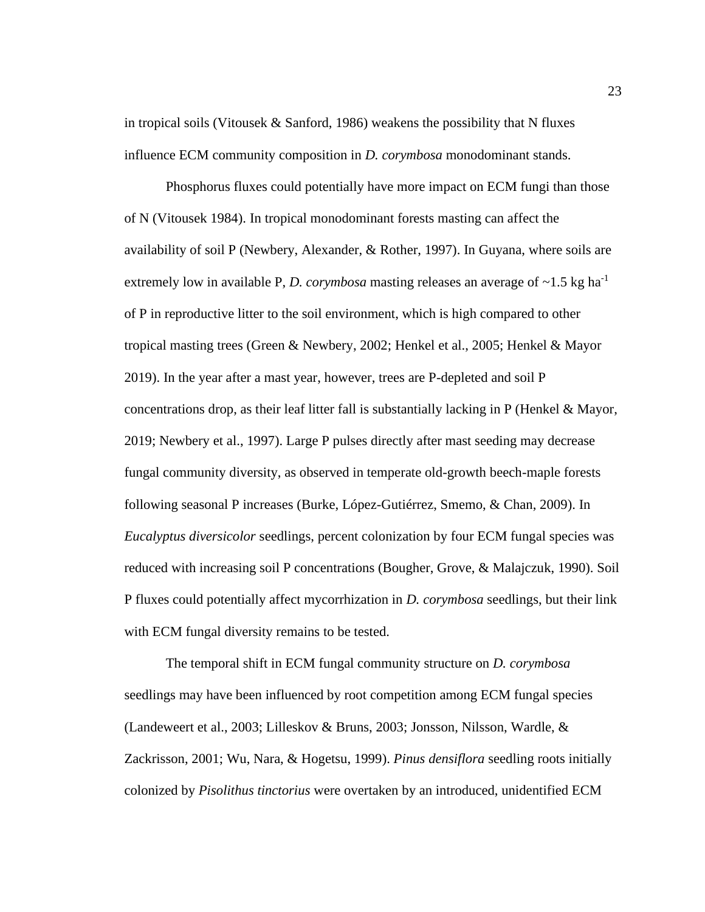in tropical soils (Vitousek & Sanford, 1986) weakens the possibility that N fluxes influence ECM community composition in *D. corymbosa* monodominant stands.

Phosphorus fluxes could potentially have more impact on ECM fungi than those of N (Vitousek 1984). In tropical monodominant forests masting can affect the availability of soil P (Newbery, Alexander, & Rother, 1997). In Guyana, where soils are extremely low in available P, *D. corymbosa* masting releases an average of  $\sim$ 1.5 kg ha<sup>-1</sup> of P in reproductive litter to the soil environment, which is high compared to other tropical masting trees (Green & Newbery, 2002; Henkel et al., 2005; Henkel & Mayor 2019). In the year after a mast year, however, trees are P-depleted and soil P concentrations drop, as their leaf litter fall is substantially lacking in  $P$  (Henkel & Mayor, 2019; Newbery et al., 1997). Large P pulses directly after mast seeding may decrease fungal community diversity, as observed in temperate old-growth beech-maple forests following seasonal P increases (Burke, López-Gutiérrez, Smemo, & Chan, 2009). In *Eucalyptus diversicolor* seedlings, percent colonization by four ECM fungal species was reduced with increasing soil P concentrations (Bougher, Grove, & Malajczuk, 1990). Soil P fluxes could potentially affect mycorrhization in *D. corymbosa* seedlings, but their link with ECM fungal diversity remains to be tested.

The temporal shift in ECM fungal community structure on *D. corymbosa*  seedlings may have been influenced by root competition among ECM fungal species (Landeweert et al., 2003; Lilleskov & Bruns, 2003; Jonsson, Nilsson, Wardle, & Zackrisson, 2001; Wu, Nara, & Hogetsu, 1999). *Pinus densiflora* seedling roots initially colonized by *Pisolithus tinctorius* were overtaken by an introduced, unidentified ECM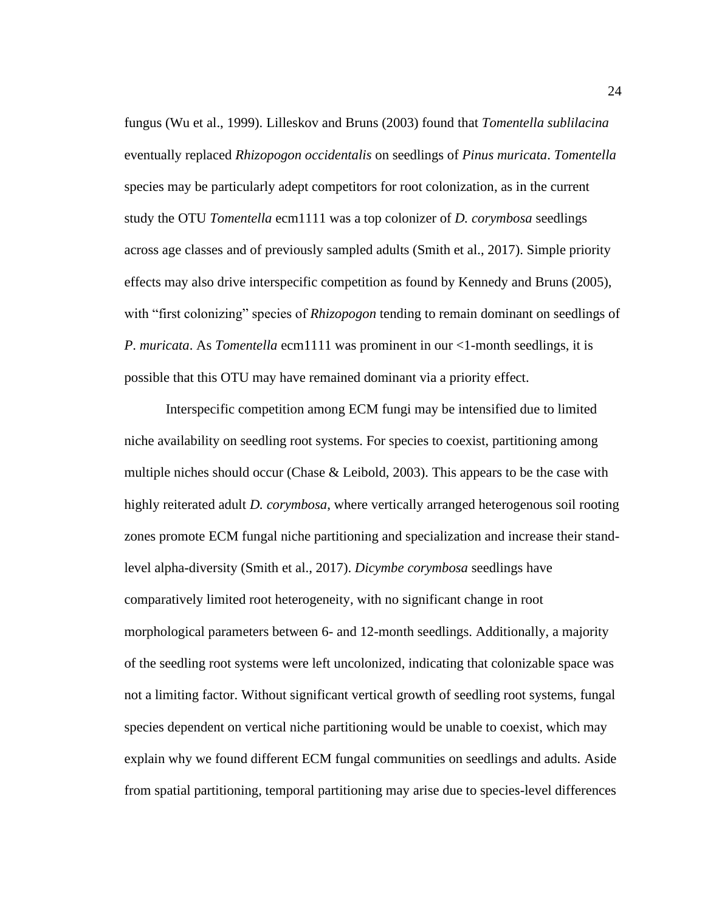fungus (Wu et al., 1999). Lilleskov and Bruns (2003) found that *Tomentella sublilacina*  eventually replaced *Rhizopogon occidentalis* on seedlings of *Pinus muricata*. *Tomentella* species may be particularly adept competitors for root colonization, as in the current study the OTU *Tomentella* ecm1111 was a top colonizer of *D. corymbosa* seedlings across age classes and of previously sampled adults (Smith et al., 2017). Simple priority effects may also drive interspecific competition as found by Kennedy and Bruns (2005), with "first colonizing" species of *Rhizopogon* tending to remain dominant on seedlings of *P*. *muricata*. As *Tomentella* ecm1111 was prominent in our <1-month seedlings, it is possible that this OTU may have remained dominant via a priority effect.

Interspecific competition among ECM fungi may be intensified due to limited niche availability on seedling root systems. For species to coexist, partitioning among multiple niches should occur (Chase  $\&$  Leibold, 2003). This appears to be the case with highly reiterated adult *D. corymbosa*, where vertically arranged heterogenous soil rooting zones promote ECM fungal niche partitioning and specialization and increase their standlevel alpha-diversity (Smith et al., 2017). *Dicymbe corymbosa* seedlings have comparatively limited root heterogeneity, with no significant change in root morphological parameters between 6- and 12-month seedlings. Additionally, a majority of the seedling root systems were left uncolonized, indicating that colonizable space was not a limiting factor. Without significant vertical growth of seedling root systems, fungal species dependent on vertical niche partitioning would be unable to coexist, which may explain why we found different ECM fungal communities on seedlings and adults*.* Aside from spatial partitioning, temporal partitioning may arise due to species-level differences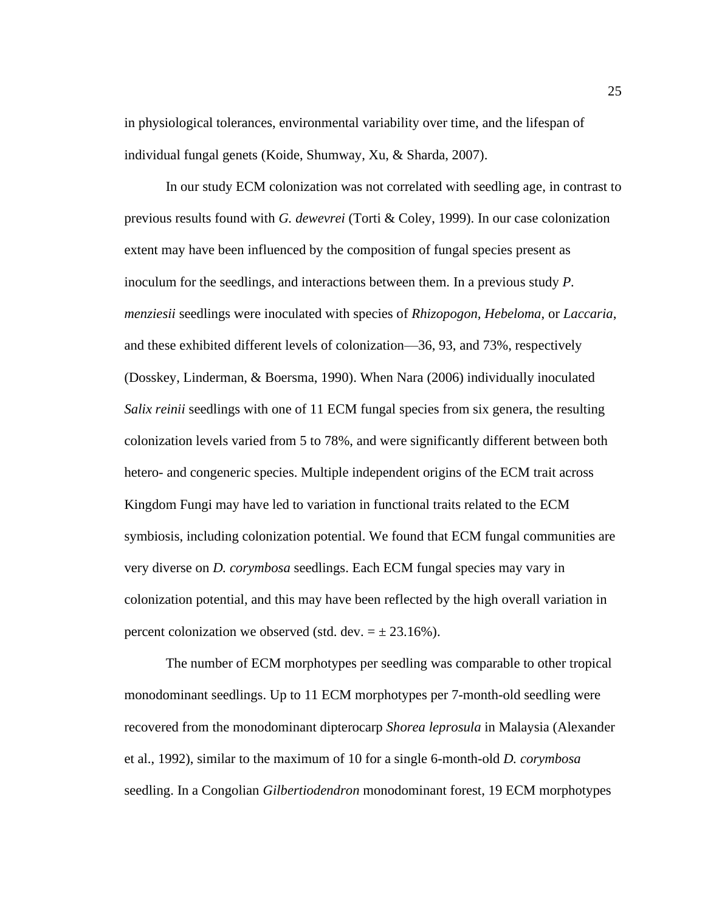in physiological tolerances, environmental variability over time, and the lifespan of individual fungal genets (Koide, Shumway, Xu, & Sharda, 2007).

In our study ECM colonization was not correlated with seedling age, in contrast to previous results found with *G. dewevrei* (Torti & Coley, 1999). In our case colonization extent may have been influenced by the composition of fungal species present as inoculum for the seedlings, and interactions between them. In a previous study *P. menziesii* seedlings were inoculated with species of *Rhizopogon, Hebeloma*, or *Laccaria*, and these exhibited different levels of colonization—36, 93, and 73%, respectively (Dosskey, Linderman, & Boersma, 1990). When Nara (2006) individually inoculated *Salix reinii* seedlings with one of 11 ECM fungal species from six genera, the resulting colonization levels varied from 5 to 78%, and were significantly different between both hetero- and congeneric species. Multiple independent origins of the ECM trait across Kingdom Fungi may have led to variation in functional traits related to the ECM symbiosis, including colonization potential. We found that ECM fungal communities are very diverse on *D. corymbosa* seedlings. Each ECM fungal species may vary in colonization potential, and this may have been reflected by the high overall variation in percent colonization we observed (std. dev.  $= \pm 23.16\%$ ).

The number of ECM morphotypes per seedling was comparable to other tropical monodominant seedlings. Up to 11 ECM morphotypes per 7-month-old seedling were recovered from the monodominant dipterocarp *Shorea leprosula* in Malaysia (Alexander et al., 1992), similar to the maximum of 10 for a single 6-month-old *D. corymbosa*  seedling. In a Congolian *Gilbertiodendron* monodominant forest, 19 ECM morphotypes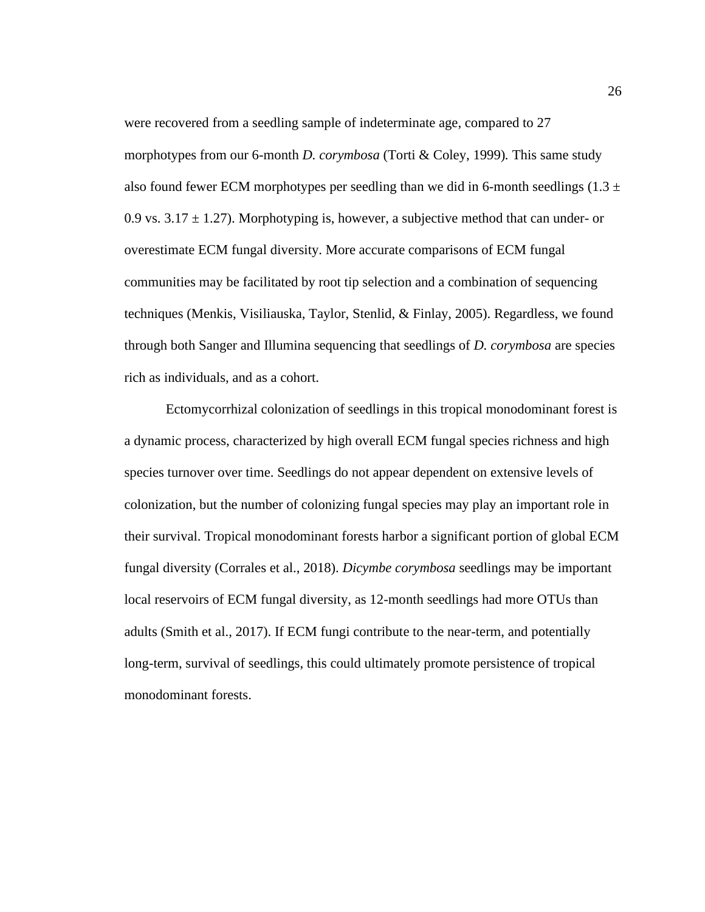were recovered from a seedling sample of indeterminate age, compared to 27 morphotypes from our 6-month *D. corymbosa* (Torti & Coley, 1999)*.* This same study also found fewer ECM morphotypes per seedling than we did in 6-month seedlings (1.3  $\pm$ 0.9 vs.  $3.17 \pm 1.27$ ). Morphotyping is, however, a subjective method that can under- or overestimate ECM fungal diversity. More accurate comparisons of ECM fungal communities may be facilitated by root tip selection and a combination of sequencing techniques (Menkis, Visiliauska, Taylor, Stenlid, & Finlay, 2005). Regardless, we found through both Sanger and Illumina sequencing that seedlings of *D. corymbosa* are species rich as individuals, and as a cohort.

Ectomycorrhizal colonization of seedlings in this tropical monodominant forest is a dynamic process, characterized by high overall ECM fungal species richness and high species turnover over time. Seedlings do not appear dependent on extensive levels of colonization, but the number of colonizing fungal species may play an important role in their survival. Tropical monodominant forests harbor a significant portion of global ECM fungal diversity (Corrales et al., 2018). *Dicymbe corymbosa* seedlings may be important local reservoirs of ECM fungal diversity, as 12-month seedlings had more OTUs than adults (Smith et al., 2017). If ECM fungi contribute to the near-term, and potentially long-term, survival of seedlings, this could ultimately promote persistence of tropical monodominant forests.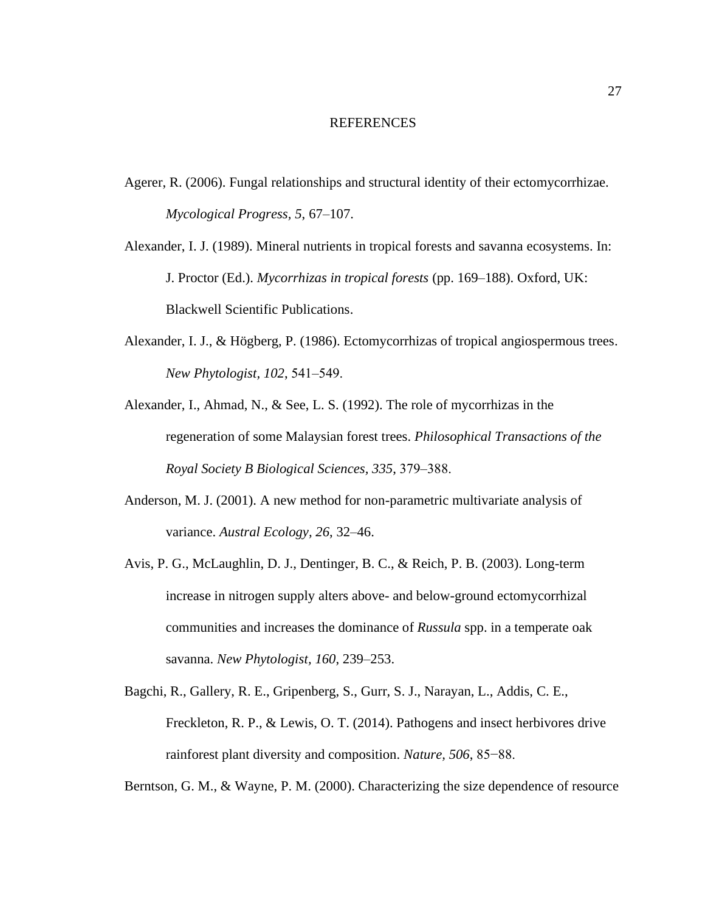#### REFERENCES

- <span id="page-33-0"></span>Agerer, R. (2006). Fungal relationships and structural identity of their ectomycorrhizae. *Mycological Progress, 5*, 67–107.
- Alexander, I. J. (1989). Mineral nutrients in tropical forests and savanna ecosystems. In: J. Proctor (Ed.). *Mycorrhizas in tropical forests* (pp. 169–188). Oxford, UK: Blackwell Scientific Publications.
- Alexander, I. J., & Högberg, P. (1986). Ectomycorrhizas of tropical angiospermous trees. *New Phytologist, 102*, 541‒549.
- Alexander, I., Ahmad, N., & See, L. S. (1992). The role of mycorrhizas in the regeneration of some Malaysian forest trees. *Philosophical Transactions of the Royal Society B Biological Sciences, 335*, 379‒388.
- Anderson, M. J. (2001). A new method for non-parametric multivariate analysis of variance. *Austral Ecology, 26*, 32–46.
- Avis, P. G., McLaughlin, D. J., Dentinger, B. C., & Reich, P. B. (2003). Long-term increase in nitrogen supply alters above- and below-ground ectomycorrhizal communities and increases the dominance of *Russula* spp. in a temperate oak savanna. *New Phytologist, 160*, 239–253.
- Bagchi, R., Gallery, R. E., Gripenberg, S., Gurr, S. J., Narayan, L., Addis, C. E., Freckleton, R. P., & Lewis, O. T. (2014). Pathogens and insect herbivores drive rainforest plant diversity and composition. *Nature, 506*, 85−88.

Berntson, G. M., & Wayne, P. M. (2000). Characterizing the size dependence of resource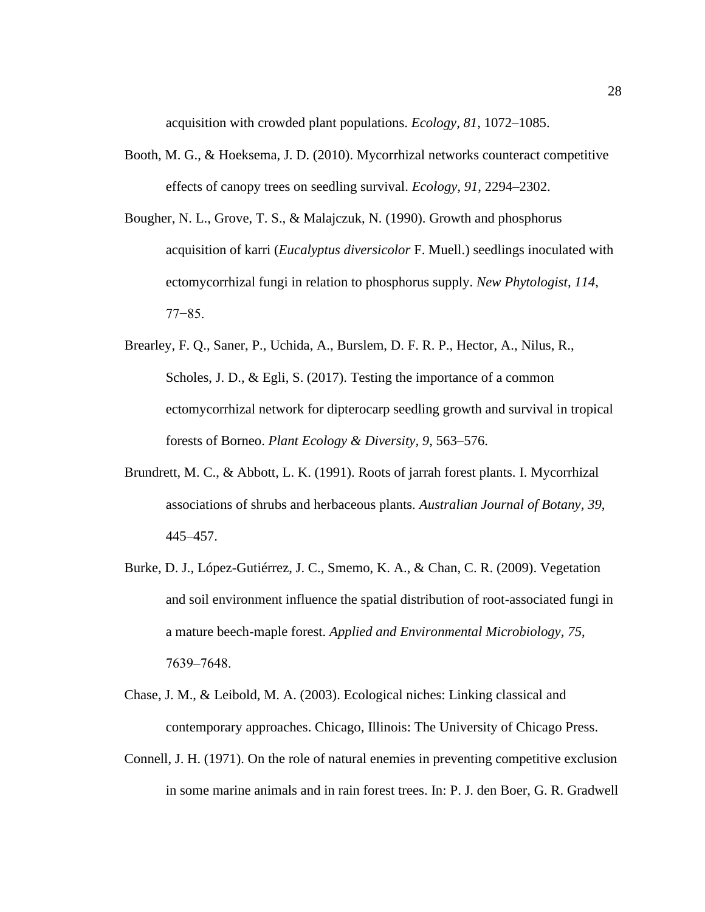acquisition with crowded plant populations. *Ecology, 81*, 1072–1085.

- Booth, M. G., & Hoeksema, J. D. (2010). Mycorrhizal networks counteract competitive effects of canopy trees on seedling survival. *Ecology, 91*, 2294–2302.
- Bougher, N. L., Grove, T. S., & Malajczuk, N. (1990). Growth and phosphorus acquisition of karri (*Eucalyptus diversicolor* F. Muell.) seedlings inoculated with ectomycorrhizal fungi in relation to phosphorus supply. *New Phytologist, 114*, 77−85.
- Brearley, F. Q., Saner, P., Uchida, A., Burslem, D. F. R. P., Hector, A., Nilus, R., Scholes, J. D., & Egli, S. (2017). Testing the importance of a common ectomycorrhizal network for dipterocarp seedling growth and survival in tropical forests of Borneo. *Plant Ecology & Diversity, 9*, 563–576.
- Brundrett, M. C., & Abbott, L. K. (1991). Roots of jarrah forest plants. I. Mycorrhizal associations of shrubs and herbaceous plants*. Australian Journal of Botany, 39*, 445–457.
- Burke, D. J., López-Gutiérrez, J. C., Smemo, K. A., & Chan, C. R. (2009). Vegetation and soil environment influence the spatial distribution of root-associated fungi in a mature beech-maple forest. *Applied and Environmental Microbiology, 75*, 7639‒7648.
- Chase, J. M., & Leibold, M. A. (2003). Ecological niches: Linking classical and contemporary approaches. Chicago, Illinois: The University of Chicago Press.
- Connell, J. H. (1971). On the role of natural enemies in preventing competitive exclusion in some marine animals and in rain forest trees. In: P. J. den Boer, G. R. Gradwell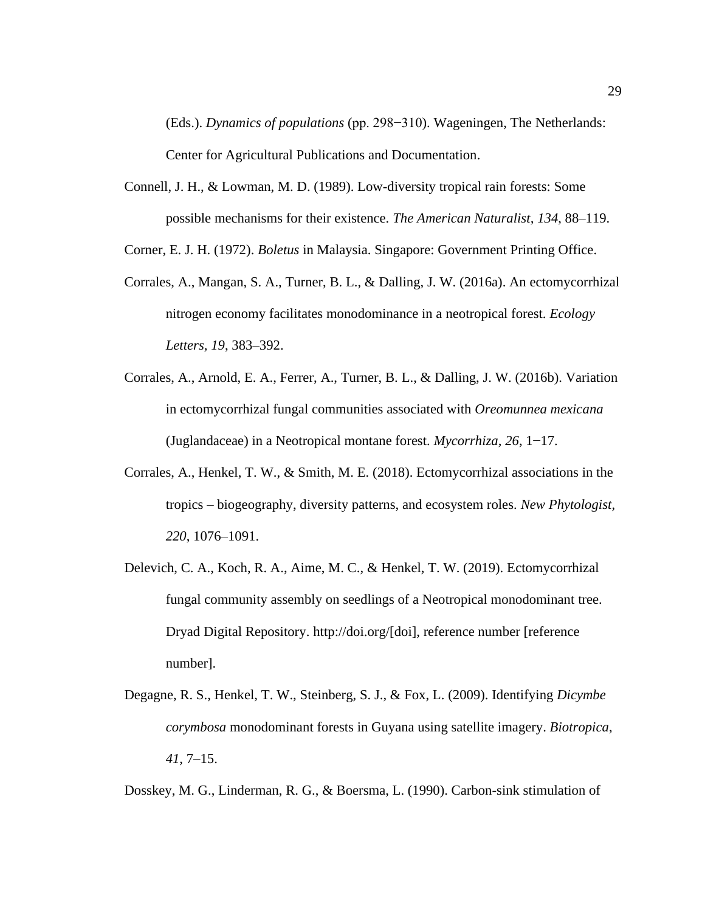(Eds.). *Dynamics of populations* (pp. 298−310). Wageningen, The Netherlands: Center for Agricultural Publications and Documentation.

- Connell, J. H., & Lowman, M. D. (1989). Low-diversity tropical rain forests: Some possible mechanisms for their existence. *The American Naturalist, 134*, 88–119.
- Corner, E. J. H. (1972). *Boletus* in Malaysia. Singapore: Government Printing Office.
- Corrales, A., Mangan, S. A., Turner, B. L., & Dalling, J. W. (2016a). An ectomycorrhizal nitrogen economy facilitates monodominance in a neotropical forest. *Ecology Letters, 19*, 383–392.
- Corrales, A., Arnold, E. A., Ferrer, A., Turner, B. L., & Dalling, J. W. (2016b). Variation in ectomycorrhizal fungal communities associated with *Oreomunnea mexicana* (Juglandaceae) in a Neotropical montane forest. *Mycorrhiza, 26*, 1−17.
- Corrales, A., Henkel, T. W., & Smith, M. E. (2018). Ectomycorrhizal associations in the tropics – biogeography, diversity patterns, and ecosystem roles. *New Phytologist, 220*, 1076–1091.
- Delevich, C. A., Koch, R. A., Aime, M. C., & Henkel, T. W. (2019). Ectomycorrhizal fungal community assembly on seedlings of a Neotropical monodominant tree. Dryad Digital Repository. http://doi.org/[doi], reference number [reference number].
- Degagne, R. S., Henkel, T. W., Steinberg, S. J., & Fox, L. (2009). Identifying *Dicymbe corymbosa* monodominant forests in Guyana using satellite imagery. *Biotropica*, *41*, 7–15.

Dosskey, M. G., Linderman, R. G., & Boersma, L. (1990). Carbon-sink stimulation of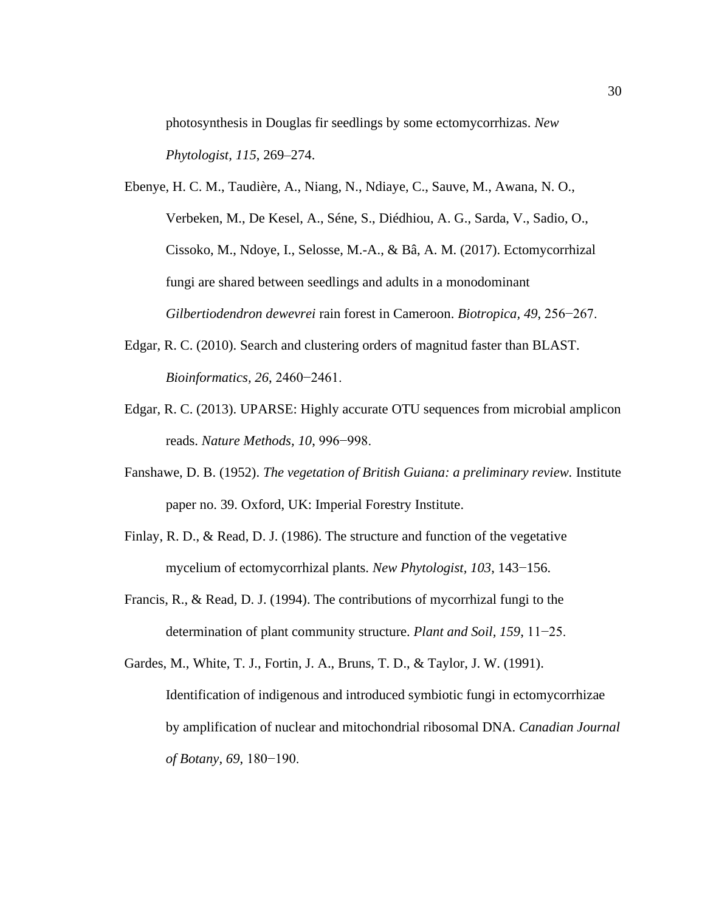photosynthesis in Douglas fir seedlings by some ectomycorrhizas. *New Phytologist, 115*, 269–274.

Ebenye, H. C. M., Taudière, A., Niang, N., Ndiaye, C., Sauve, M., Awana, N. O., Verbeken, M., De Kesel, A., Séne, S., Diédhiou, A. G., Sarda, V., Sadio, O., Cissoko, M., Ndoye, I., Selosse, M.-A., & Bâ, A. M. (2017). Ectomycorrhizal fungi are shared between seedlings and adults in a monodominant *Gilbertiodendron dewevrei* rain forest in Cameroon. *Biotropica, 49*, 256−267.

- Edgar, R. C. (2010). Search and clustering orders of magnitud faster than BLAST. *Bioinformatics, 26*, 2460−2461.
- Edgar, R. C. (2013). UPARSE: Highly accurate OTU sequences from microbial amplicon reads. *Nature Methods, 10*, 996−998.
- Fanshawe, D. B. (1952). *The vegetation of British Guiana: a preliminary review.* Institute paper no. 39. Oxford, UK: Imperial Forestry Institute.
- Finlay, R. D., & Read, D. J. (1986). The structure and function of the vegetative mycelium of ectomycorrhizal plants. *New Phytologist, 103*, 143−156.
- Francis, R., & Read, D. J. (1994). The contributions of mycorrhizal fungi to the determination of plant community structure. *Plant and Soil, 159*, 11−25.

Gardes, M., White, T. J., Fortin, J. A., Bruns, T. D., & Taylor, J. W. (1991). Identification of indigenous and introduced symbiotic fungi in ectomycorrhizae by amplification of nuclear and mitochondrial ribosomal DNA. *Canadian Journal of Botany, 69*, 180−190.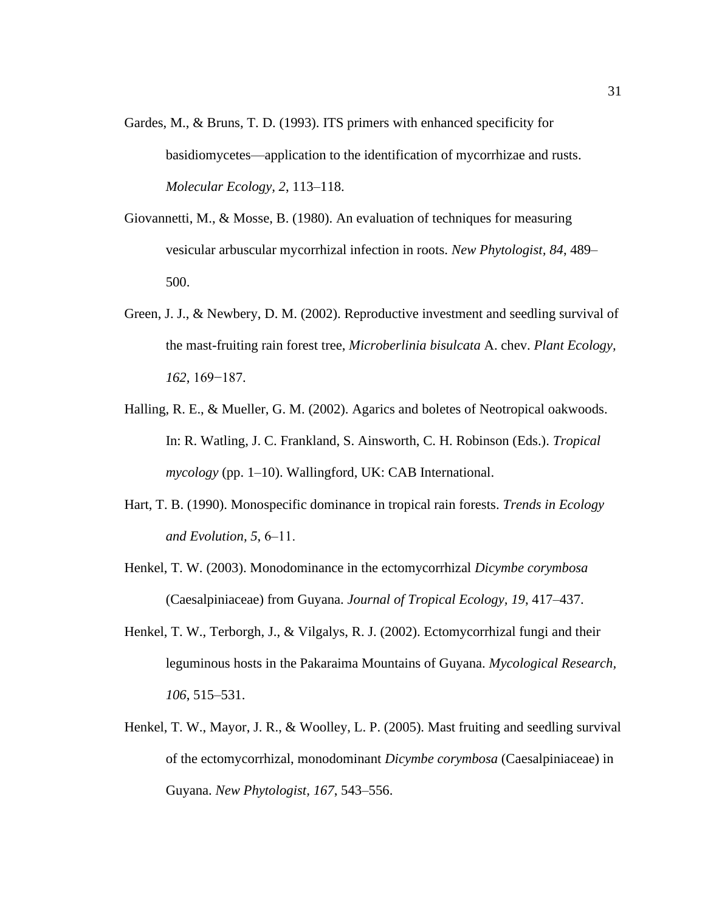- Gardes, M., & Bruns, T. D. (1993). ITS primers with enhanced specificity for basidiomycetes—application to the identification of mycorrhizae and rusts. *Molecular Ecology, 2*, 113–118.
- Giovannetti, M., & Mosse, B. (1980). An evaluation of techniques for measuring vesicular arbuscular mycorrhizal infection in roots. *New Phytologist, 84*, 489– 500.
- Green, J. J., & Newbery, D. M. (2002). Reproductive investment and seedling survival of the mast-fruiting rain forest tree, *Microberlinia bisulcata* A. chev. *Plant Ecology, 162*, 169−187.
- Halling, R. E., & Mueller, G. M. (2002). Agarics and boletes of Neotropical oakwoods. In: R. Watling, J. C. Frankland, S. Ainsworth, C. H. Robinson (Eds.). *Tropical mycology* (pp. 1–10). Wallingford, UK: CAB International.
- Hart, T. B. (1990). Monospecific dominance in tropical rain forests. *Trends in Ecology and Evolution, 5*, 6‒11.
- Henkel, T. W. (2003). Monodominance in the ectomycorrhizal *Dicymbe corymbosa*  (Caesalpiniaceae) from Guyana. *Journal of Tropical Ecology, 19*, 417–437.
- Henkel, T. W., Terborgh, J., & Vilgalys, R. J. (2002). Ectomycorrhizal fungi and their leguminous hosts in the Pakaraima Mountains of Guyana. *Mycological Research, 106*, 515–531.
- Henkel, T. W., Mayor, J. R., & Woolley, L. P. (2005). Mast fruiting and seedling survival of the ectomycorrhizal, monodominant *Dicymbe corymbosa* (Caesalpiniaceae) in Guyana. *New Phytologist, 167*, 543–556.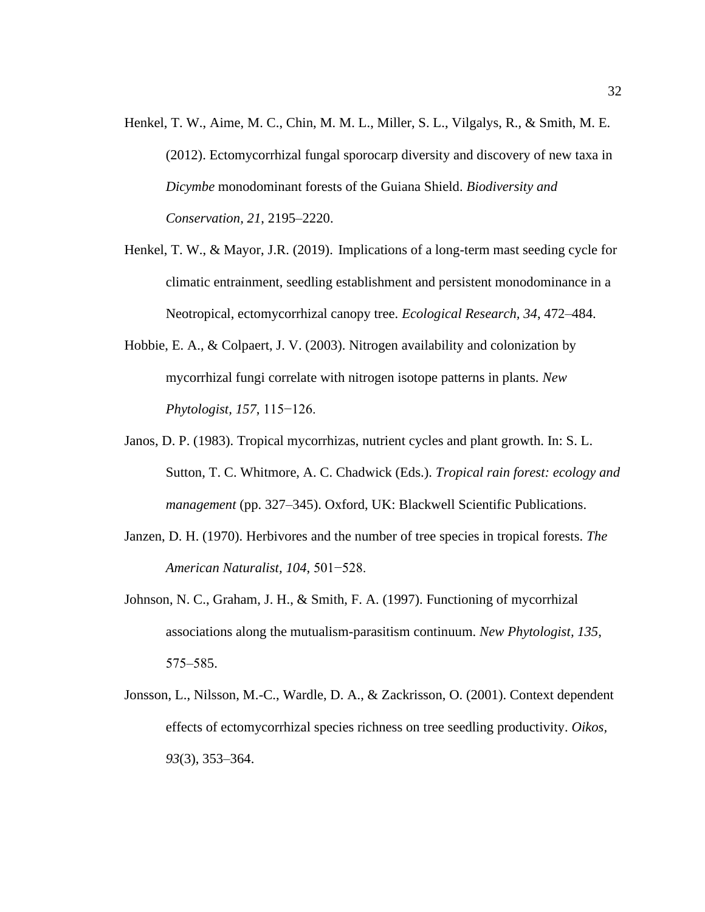- Henkel, T. W., Aime, M. C., Chin, M. M. L., Miller, S. L., Vilgalys, R., & Smith, M. E. (2012). Ectomycorrhizal fungal sporocarp diversity and discovery of new taxa in *Dicymbe* monodominant forests of the Guiana Shield. *Biodiversity and Conservation, 21*, 2195–2220.
- Henkel, T. W., & Mayor, J.R. (2019). Implications of a long-term mast seeding cycle for climatic entrainment, seedling establishment and persistent monodominance in a Neotropical, ectomycorrhizal canopy tree. *Ecological Research, 34*, 472–484.
- Hobbie, E. A., & Colpaert, J. V. (2003). Nitrogen availability and colonization by mycorrhizal fungi correlate with nitrogen isotope patterns in plants. *New Phytologist, 157*, 115−126.
- Janos, D. P. (1983). Tropical mycorrhizas, nutrient cycles and plant growth. In: S. L. Sutton, T. C. Whitmore, A. C. Chadwick (Eds.). *Tropical rain forest: ecology and management* (pp. 327–345). Oxford, UK: Blackwell Scientific Publications.
- Janzen, D. H. (1970). Herbivores and the number of tree species in tropical forests. *The American Naturalist, 104*, 501−528.
- Johnson, N. C., Graham, J. H., & Smith, F. A. (1997). Functioning of mycorrhizal associations along the mutualism-parasitism continuum. *New Phytologist, 135*, 575–585.
- Jonsson, L., Nilsson, M.-C., Wardle, D. A., & Zackrisson, O. (2001). Context dependent effects of ectomycorrhizal species richness on tree seedling productivity. *Oikos, 93*(3), 353–364.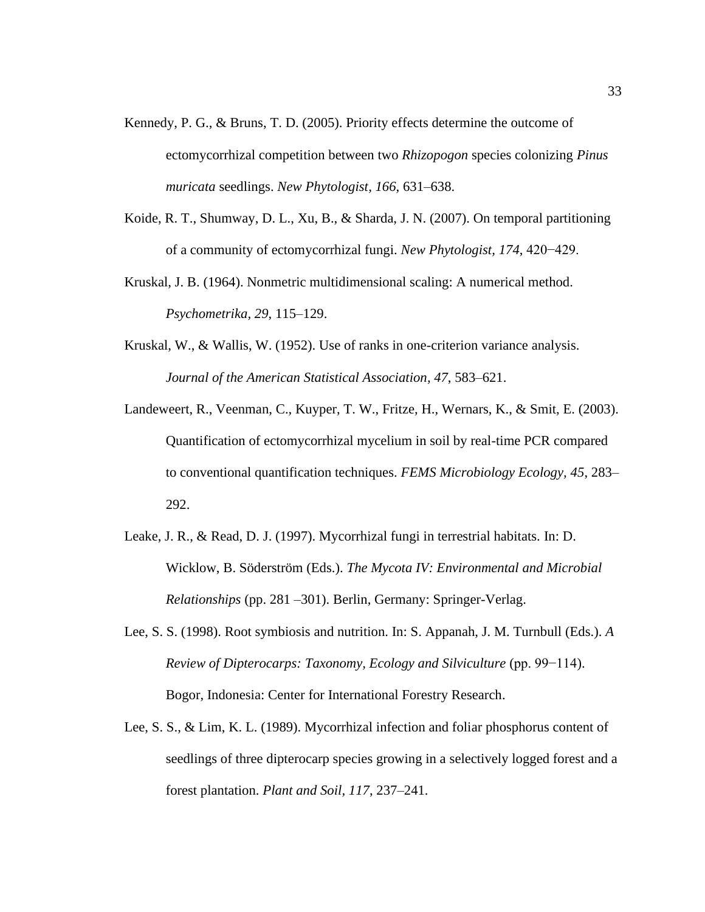- Kennedy, P. G., & Bruns, T. D. (2005). Priority effects determine the outcome of ectomycorrhizal competition between two *Rhizopogon* species colonizing *Pinus muricata* seedlings. *New Phytologist, 166*, 631–638.
- Koide, R. T., Shumway, D. L., Xu, B., & Sharda, J. N. (2007). On temporal partitioning of a community of ectomycorrhizal fungi. *New Phytologist, 174*, 420−429.
- Kruskal, J. B. (1964). Nonmetric multidimensional scaling: A numerical method. *Psychometrika, 29*, 115–129.
- Kruskal, W., & Wallis, W. (1952). Use of ranks in one-criterion variance analysis. *Journal of the American Statistical Association, 47*, 583–621.
- Landeweert, R., Veenman, C., Kuyper, T. W., Fritze, H., Wernars, K., & Smit, E. (2003). Quantification of ectomycorrhizal mycelium in soil by real-time PCR compared to conventional quantification techniques. *FEMS Microbiology Ecology, 45*, 283– 292.
- Leake, J. R., & Read, D. J. (1997). Mycorrhizal fungi in terrestrial habitats. In: D. Wicklow, B. Söderström (Eds.). *The Mycota IV: Environmental and Microbial Relationships* (pp. 281 –301). Berlin, Germany: Springer-Verlag.
- Lee, S. S. (1998). Root symbiosis and nutrition. In: S. Appanah, J. M. Turnbull (Eds.). *A Review of Dipterocarps: Taxonomy, Ecology and Silviculture* (pp. 99−114). Bogor, Indonesia: Center for International Forestry Research.
- Lee, S. S., & Lim, K. L. (1989). Mycorrhizal infection and foliar phosphorus content of seedlings of three dipterocarp species growing in a selectively logged forest and a forest plantation. *Plant and Soil, 117*, 237–241.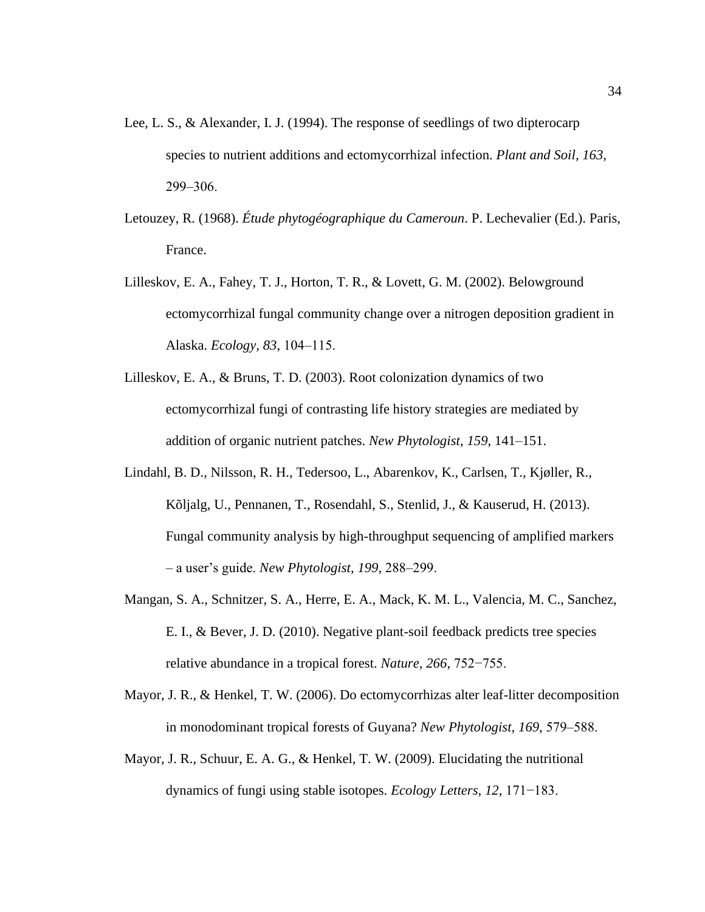- Lee, L. S., & Alexander, I. J. (1994). The response of seedlings of two dipterocarp species to nutrient additions and ectomycorrhizal infection. *Plant and Soil, 163*, 299‒306.
- Letouzey, R. (1968). *Étude phytogéographique du Cameroun*. P. Lechevalier (Ed.). Paris, France.
- Lilleskov, E. A., Fahey, T. J., Horton, T. R., & Lovett, G. M. (2002). Belowground ectomycorrhizal fungal community change over a nitrogen deposition gradient in Alaska. *Ecology, 83*, 104‒115.
- Lilleskov, E. A., & Bruns, T. D. (2003). Root colonization dynamics of two ectomycorrhizal fungi of contrasting life history strategies are mediated by addition of organic nutrient patches. *New Phytologist, 159*, 141–151.
- Lindahl, B. D., Nilsson, R. H., Tedersoo, L., Abarenkov, K., Carlsen, T., Kjøller, R., Kõljalg, U., Pennanen, T., Rosendahl, S., Stenlid, J., & Kauserud, H. (2013). Fungal community analysis by high-throughput sequencing of amplified markers – a user's guide. *New Phytologist, 199*, 288‒299.
- Mangan, S. A., Schnitzer, S. A., Herre, E. A., Mack, K. M. L., Valencia, M. C., Sanchez, E. I., & Bever, J. D. (2010). Negative plant-soil feedback predicts tree species relative abundance in a tropical forest. *Nature, 266*, 752−755.
- Mayor, J. R., & Henkel, T. W. (2006). Do ectomycorrhizas alter leaf-litter decomposition in monodominant tropical forests of Guyana? *New Phytologist, 169*, 579‒588.
- Mayor, J. R., Schuur, E. A. G., & Henkel, T. W. (2009). Elucidating the nutritional dynamics of fungi using stable isotopes. *Ecology Letters, 12*, 171−183.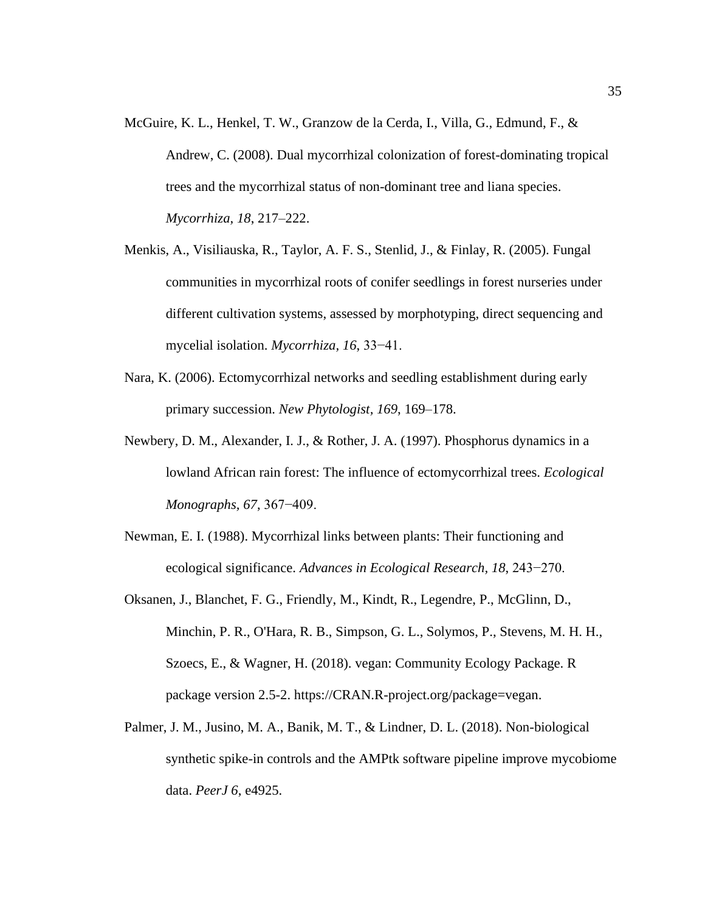- McGuire, K. L., Henkel, T. W., Granzow de la Cerda, I., Villa, G., Edmund, F., & Andrew, C. (2008). Dual mycorrhizal colonization of forest-dominating tropical trees and the mycorrhizal status of non-dominant tree and liana species. *Mycorrhiza, 18*, 217–222.
- Menkis, A., Visiliauska, R., Taylor, A. F. S., Stenlid, J., & Finlay, R. (2005). Fungal communities in mycorrhizal roots of conifer seedlings in forest nurseries under different cultivation systems, assessed by morphotyping, direct sequencing and mycelial isolation. *Mycorrhiza, 16*, 33−41.
- Nara, K. (2006). Ectomycorrhizal networks and seedling establishment during early primary succession. *New Phytologist, 169*, 169–178.
- Newbery, D. M., Alexander, I. J., & Rother, J. A. (1997). Phosphorus dynamics in a lowland African rain forest: The influence of ectomycorrhizal trees. *Ecological Monographs, 67*, 367−409.
- Newman, E. I. (1988). Mycorrhizal links between plants: Their functioning and ecological significance. *Advances in Ecological Research, 18*, 243−270.
- Oksanen, J., Blanchet, F. G., Friendly, M., Kindt, R., Legendre, P., McGlinn, D., Minchin, P. R., O'Hara, R. B., Simpson, G. L., Solymos, P., Stevens, M. H. H., Szoecs, E., & Wagner, H. (2018). vegan: Community Ecology Package. R package version 2.5-2. https://CRAN.R-project.org/package=vegan.
- Palmer, J. M., Jusino, M. A., Banik, M. T., & Lindner, D. L. (2018). Non-biological synthetic spike-in controls and the AMPtk software pipeline improve mycobiome data. *PeerJ 6*, e4925.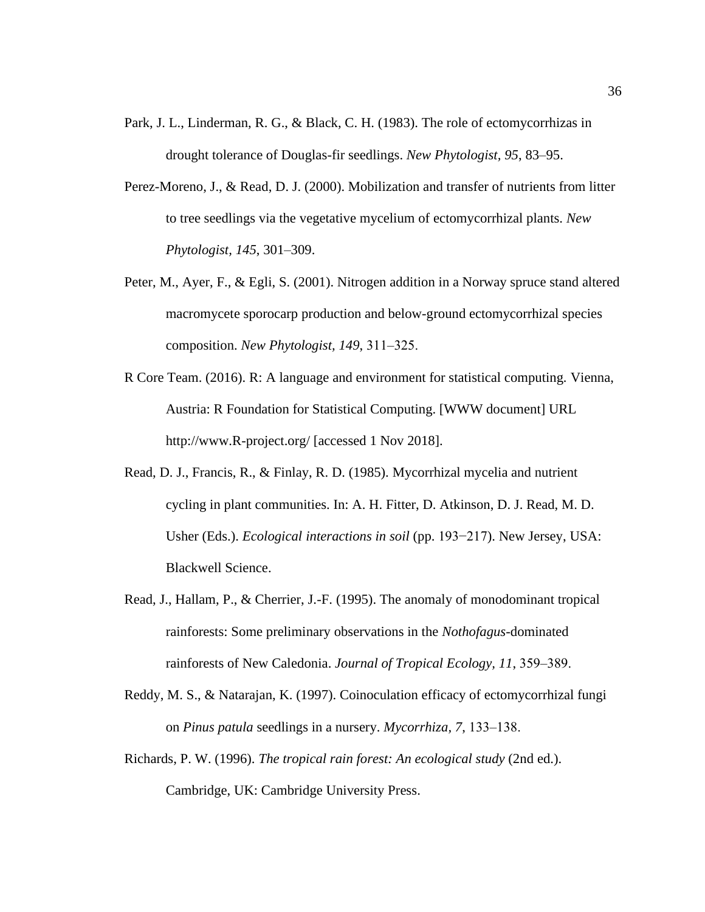- Park, J. L., Linderman, R. G., & Black, C. H. (1983). The role of ectomycorrhizas in drought tolerance of Douglas-fir seedlings. *New Phytologist, 95*, 83–95.
- Perez-Moreno, J., & Read, D. J. (2000). Mobilization and transfer of nutrients from litter to tree seedlings via the vegetative mycelium of ectomycorrhizal plants. *New Phytologist, 145*, 301–309.
- Peter, M., Ayer, F., & Egli, S. (2001). Nitrogen addition in a Norway spruce stand altered macromycete sporocarp production and below-ground ectomycorrhizal species composition. *New Phytologist, 149*, 311‒325.
- R Core Team. (2016). R: A language and environment for statistical computing*.* Vienna, Austria: R Foundation for Statistical Computing. [WWW document] URL http://www.R-project.org/ [accessed 1 Nov 2018].
- Read, D. J., Francis, R., & Finlay, R. D. (1985). Mycorrhizal mycelia and nutrient cycling in plant communities. In: A. H. Fitter, D. Atkinson, D. J. Read, M. D. Usher (Eds.). *Ecological interactions in soil* (pp. 193−217). New Jersey, USA: Blackwell Science.
- Read, J., Hallam, P., & Cherrier, J.-F. (1995). The anomaly of monodominant tropical rainforests: Some preliminary observations in the *Nothofagus*-dominated rainforests of New Caledonia. *Journal of Tropical Ecology*, 11, 359–389.
- Reddy, M. S., & Natarajan, K. (1997). Coinoculation efficacy of ectomycorrhizal fungi on *Pinus patula* seedlings in a nursery. *Mycorrhiza, 7*, 133‒138.
- Richards, P. W. (1996). *The tropical rain forest: An ecological study* (2nd ed.). Cambridge, UK: Cambridge University Press.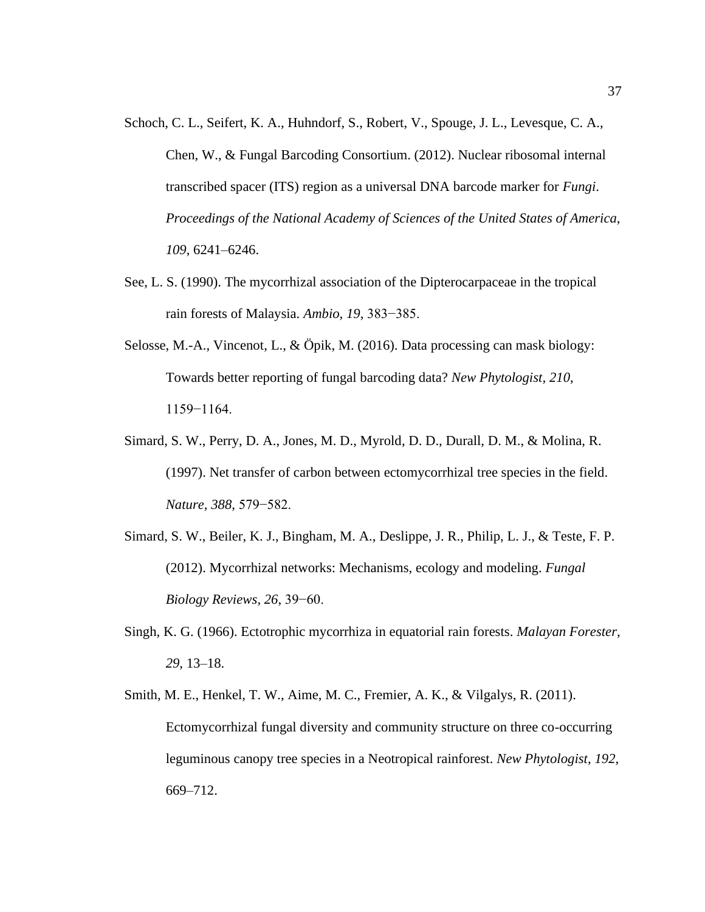- Schoch, C. L., Seifert, K. A., Huhndorf, S., Robert, V., Spouge, J. L., Levesque, C. A., Chen, W., & Fungal Barcoding Consortium. (2012). Nuclear ribosomal internal transcribed spacer (ITS) region as a universal DNA barcode marker for *Fungi*. *Proceedings of the National Academy of Sciences of the United States of America, 109*, 6241–6246.
- See, L. S. (1990). The mycorrhizal association of the Dipterocarpaceae in the tropical rain forests of Malaysia. *Ambio, 19*, 383−385.
- Selosse, M.-A., Vincenot, L., & Öpik, M. (2016). Data processing can mask biology: Towards better reporting of fungal barcoding data? *New Phytologist, 210*, 1159−1164.
- Simard, S. W., Perry, D. A., Jones, M. D., Myrold, D. D., Durall, D. M., & Molina, R. (1997). Net transfer of carbon between ectomycorrhizal tree species in the field. *Nature, 388*, 579−582.
- Simard, S. W., Beiler, K. J., Bingham, M. A., Deslippe, J. R., Philip, L. J., & Teste, F. P. (2012). Mycorrhizal networks: Mechanisms, ecology and modeling. *Fungal Biology Reviews, 26*, 39−60.
- Singh, K. G. (1966). Ectotrophic mycorrhiza in equatorial rain forests. *Malayan Forester, 29*, 13–18.
- Smith, M. E., Henkel, T. W., Aime, M. C., Fremier, A. K., & Vilgalys, R. (2011). Ectomycorrhizal fungal diversity and community structure on three co-occurring leguminous canopy tree species in a Neotropical rainforest. *New Phytologist, 192*, 669–712.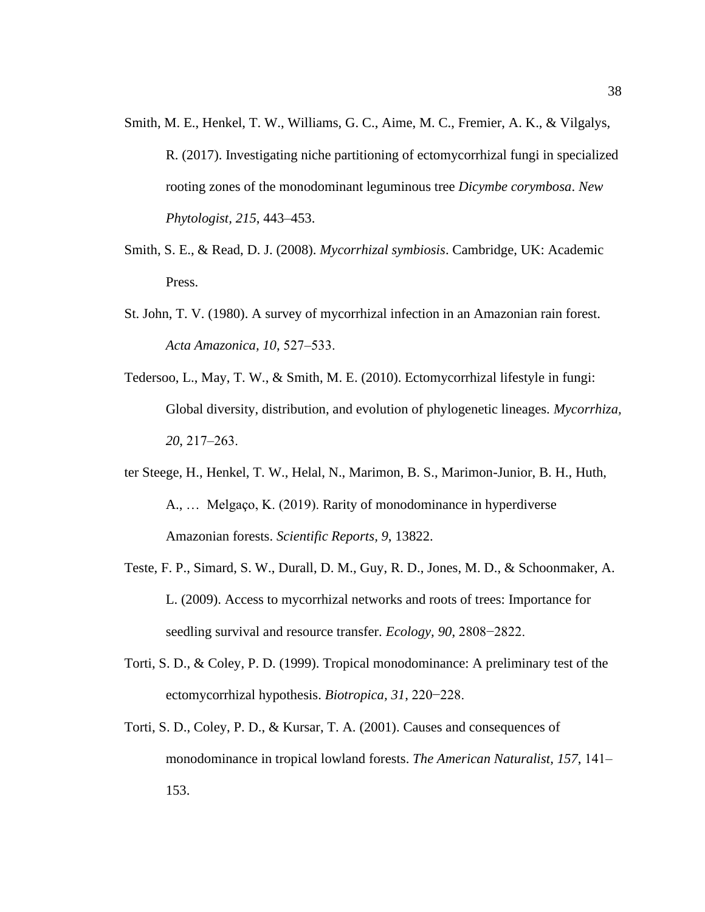- Smith, M. E., Henkel, T. W., Williams, G. C., Aime, M. C., Fremier, A. K., & Vilgalys, R. (2017). Investigating niche partitioning of ectomycorrhizal fungi in specialized rooting zones of the monodominant leguminous tree *Dicymbe corymbosa*. *New Phytologist, 215*, 443–453.
- Smith, S. E., & Read, D. J. (2008). *Mycorrhizal symbiosis*. Cambridge, UK: Academic Press.
- St. John, T. V. (1980). A survey of mycorrhizal infection in an Amazonian rain forest. *Acta Amazonica, 10*, 527‒533.
- Tedersoo, L., May, T. W., & Smith, M. E. (2010). Ectomycorrhizal lifestyle in fungi: Global diversity, distribution, and evolution of phylogenetic lineages. *Mycorrhiza, 20*, 217‒263.
- ter Steege, H., Henkel, T. W., Helal, N., Marimon, B. S., Marimon-Junior, B. H., Huth, A., … Melgaço, K. (2019). Rarity of monodominance in hyperdiverse Amazonian forests. *Scientific Reports, 9*, 13822.
- Teste, F. P., Simard, S. W., Durall, D. M., Guy, R. D., Jones, M. D., & Schoonmaker, A. L. (2009). Access to mycorrhizal networks and roots of trees: Importance for seedling survival and resource transfer. *Ecology, 90*, 2808−2822.
- Torti, S. D., & Coley, P. D. (1999). Tropical monodominance: A preliminary test of the ectomycorrhizal hypothesis. *Biotropica, 31*, 220−228.
- Torti, S. D., Coley, P. D., & Kursar, T. A. (2001). Causes and consequences of monodominance in tropical lowland forests. *The American Naturalist*, 157, 141– 153.